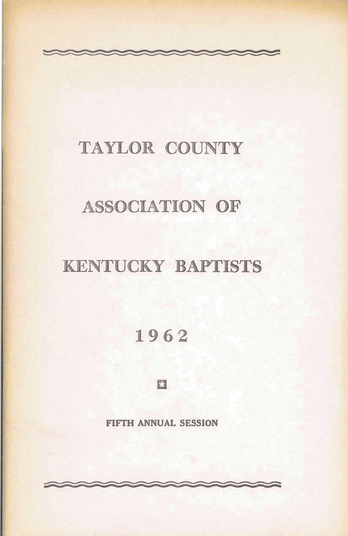### TAYLOR COUNTY

### **ASSOCIATION OF**

### **KENTUCKY BAPTISTS**

1962

E

FIFTH ANNUAL SESSION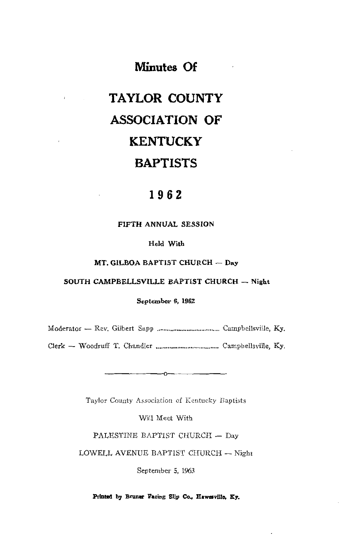### **Minutes Of**

 $\mathbf{r}$ 

## **TAYLOR COUNTY ASSOCIATION OF KENTUCKY BAPTISTS**

### 1962

#### FIFTH ANNUAL SESSION

#### Held With

#### MT, GILBOA BAPTIST CHURCH - Day

#### SOUTH CAMPBELLSVILLE BAPTIST CHURCH - Night

#### September 6, 1962

Taylor County Association of Kentucky Baptists

 $-0$ ---

Will Meet With

PALESTINE BAPTIST CHURCH - Day

LOWELL AVENUE BAPTIST CHURCH - Night

September 5, 1963

Printed by Bruner Facing Slip Co., Hawesville, Ky.

 $\mathbf r$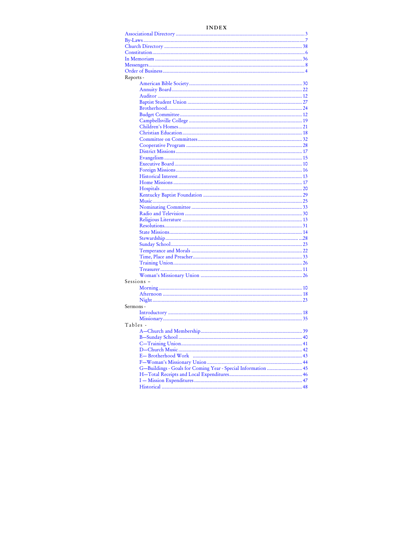#### **INDEX**

| Reports -  |                                                               |
|------------|---------------------------------------------------------------|
|            |                                                               |
|            |                                                               |
|            |                                                               |
|            |                                                               |
|            |                                                               |
|            |                                                               |
|            |                                                               |
|            |                                                               |
|            |                                                               |
|            |                                                               |
|            |                                                               |
|            |                                                               |
|            |                                                               |
|            |                                                               |
|            |                                                               |
|            |                                                               |
|            |                                                               |
|            |                                                               |
|            |                                                               |
|            |                                                               |
|            |                                                               |
|            |                                                               |
|            |                                                               |
|            |                                                               |
|            |                                                               |
|            |                                                               |
|            |                                                               |
|            |                                                               |
|            |                                                               |
|            |                                                               |
|            |                                                               |
|            |                                                               |
|            |                                                               |
| Sessions - |                                                               |
|            |                                                               |
|            |                                                               |
|            |                                                               |
| Sermons -  |                                                               |
|            |                                                               |
|            |                                                               |
| Tables -   |                                                               |
|            |                                                               |
|            |                                                               |
|            |                                                               |
|            |                                                               |
|            |                                                               |
|            |                                                               |
|            | G-Buildings - Goals for Coming Year - Special Information  45 |
|            |                                                               |
|            |                                                               |
|            |                                                               |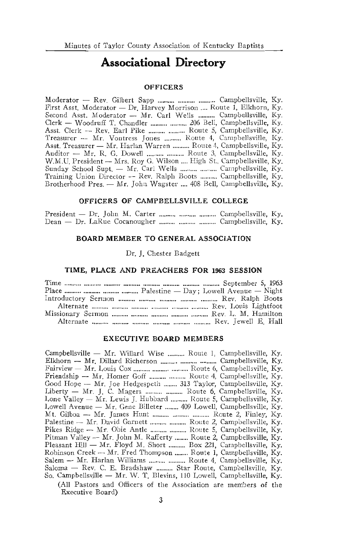### **Associational Directory**

#### **OFFICERS**

Moderator - Rev. Gilbert Sapp .......... .......... .......... Campbellsville, Ky. First Asst. Moderator - Dr. Harvey Morrison .... Route 1, Elkhorn, Ky. Second Asst. Moderator - Mr. Carl Wells .......... Campbellsville, Ky. Clerk - Woodruff T. Chandler .......... .......... 206 Bell, Campbellsville, Ky. Asst. Clerk - Rev. Earl Pike .......... .......... Route 5, Campbellsville, Ky. Treasurer - Mr. Vontress Jones .......... Route 4, Campbellsville, Ky. Asst. Treasurer - Mr. Harlan Warren .......... Route 4, Campbellsville, Ky. Sunday School Supt. - Mr. Carl Wells .......... .......... Campbelisville, Ky. Training Union Director - Rev. Ralph Boots .......... Campbellsville, Ky. Brotherhood Pres. - Mr. John Wagster .... 408 Bell, Campbellsville, Ky.

#### OFFICERS OF CAMPBELLSVILLE COLLEGE

#### **BOARD MEMBER TO GENERAL ASSOCIATION**

Dr. J. Chester Badgett

#### TIME, PLACE AND PREACHERS FOR 1963 SESSION

| Place $\ldots$ $\ldots$ $\ldots$ $\ldots$ $\ldots$ $\ldots$ $\ldots$ $\ldots$ $\ldots$ $\ldots$ $\ldots$ $\ldots$ $\ldots$ $\ldots$ $\ldots$ $\ldots$ $\ldots$ $\ldots$ $\ldots$ $\ldots$ $\ldots$ $\ldots$ $\ldots$ $\ldots$ $\ldots$ $\ldots$ $\ldots$ $\ldots$ $\ldots$ $\ldots$ $\ldots$ $\ldots$ $\ldots$ $\ldots$ $\ldots$ $\ldots$ |
|-------------------------------------------------------------------------------------------------------------------------------------------------------------------------------------------------------------------------------------------------------------------------------------------------------------------------------------------|
|                                                                                                                                                                                                                                                                                                                                           |
|                                                                                                                                                                                                                                                                                                                                           |
|                                                                                                                                                                                                                                                                                                                                           |
|                                                                                                                                                                                                                                                                                                                                           |

#### **EXECUTIVE BOARD MEMBERS**

Campbellsville - Mr. Willard Wise .......... Route 1, Campbellsville, Ky. Elkhorn - Mr. Dillard Richerson .......... .......... .......... Campbellsville, Ky. Fairview - Mr. Louis Cox .......... ........... .......... Route 6, Campbellsville, Ky. Friendship -- Mr. Homer Goff .......... .......... Route 4, Campbellsville, Ky. Good Hope - Mr. Joe Hedgespeth ........ 313 Taylor, Campbellsville, Ky. Liberty - Mr. J. C. Magers .......... .......... Route 6, Campbellsville, Ky. Lone Valley — Mr. Lewis J. Hubbard .......... Route 5. Campbellsville, Ky. Lowell Avenue - Mr. Gene Billeter ........ 409 Lowell, Campbellsville, Ky. Mt. Gilboa - Mr. James Hunt .......... .......... .......... Route 2, Finley, Ky. Palestine - Mr. David Garnett .......... .......... Route 2, Campbellsville, Ky. Pikes Ridge - Mr. Obie Antle .......... .......... Route 5, Campbellsville, Ky. Pitman Valley - Mr. John M. Rafferty ........ Route 2, Campbellsville, Ky. Pleasant Hill - Mr. Floyd M. Short .......... Box 221, Campbellsville, Ky. Robinson Creek - Mr. Fred Thompson ........ Route 1, Campbellsville, Ky. Salem - Mr. Harlan Williams ......... .......... Route 4, Campbellsville, Ky. Saloma - Rev. C. E. Bradshaw .......... Star Route, Campbellsville, Ky. So. Campbellsville - Mr. W. T. Blevins, 110 Lowell, Campbellsville, Ky. (All Pastors and Officers of the Association are members of the Executive Board)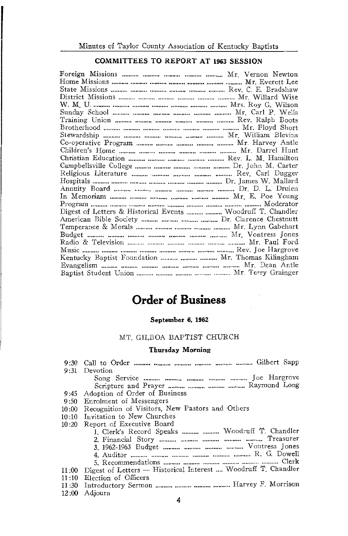#### **COMMITTEES TO REPORT AT 1963 SESSION**

Digest of Letters & Historical Events .......... .......... Woodruff T. Chandler Kentucky Baptist Foundation .......... .......... ......... Mr. Thomas Kilingham 

### **Order of Business**

#### September 6, 1962

#### MT. GILBOA BAPTIST CHURCH

#### Thursday Morning

|       | 9:31 Devotion                                                       |
|-------|---------------------------------------------------------------------|
|       |                                                                     |
|       |                                                                     |
|       | 9:45 Adoption of Order of Business                                  |
|       | 9:50 Enrolment of Messengers                                        |
|       | 10:00 Recognition of Visitors, New Pastors and Others               |
|       | 10:10 Invitation to New Churches                                    |
| 10:20 | Report of Executive Board                                           |
|       | 1. Clerk's Record Speaks   Woodruff T. Chandler                     |
|       |                                                                     |
|       |                                                                     |
|       |                                                                     |
|       |                                                                     |
|       | 11:00 Digest of Letters - Historical Interest  Woodruff T. Chandler |
|       | 11:10 Election of Officers                                          |
|       | 11:30 Introductory Sermon    Harvey F. Morrison                     |

12:00 Adjourn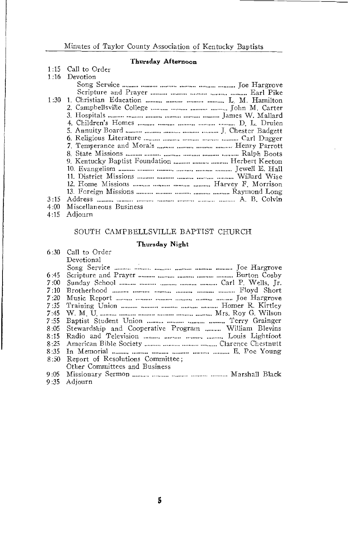#### Thursday Afternoon

|      | 1:15 Call to Order                               |
|------|--------------------------------------------------|
| 1:16 | Devotion                                         |
|      |                                                  |
|      |                                                  |
| 1:30 | 1. Christian Education    L. M. Hamilton         |
|      |                                                  |
|      |                                                  |
|      |                                                  |
|      |                                                  |
|      |                                                  |
|      | 7. Temperance and Morals    Henry Parrott        |
|      |                                                  |
|      | 9. Kentucky Baptist Foundation    Herbert Keeton |
|      |                                                  |
|      |                                                  |
|      |                                                  |
|      |                                                  |
| 3:15 |                                                  |
| 4:00 | Miscellaneous Business                           |
| 4.15 | Adiourn                                          |

#### SOUTH CAMPBELLSVILLE BAPTIST CHURCH

#### Thursday Night

|      | 6:30 Call to Order                                   |
|------|------------------------------------------------------|
|      | Devotional                                           |
|      |                                                      |
| 6:45 |                                                      |
| 7:00 |                                                      |
| 7:10 |                                                      |
| 7:20 |                                                      |
| 7:35 |                                                      |
| 7:45 |                                                      |
| 7:55 |                                                      |
| 8:05 | Stewardship and Cooperative Program  William Blevins |
| 8:15 |                                                      |
| 8:25 |                                                      |
| 8:35 |                                                      |
| 8:50 | Report of Resolutions Committee;                     |
|      | Other Committees and Business                        |
|      |                                                      |
|      | 9:35 Adjourn                                         |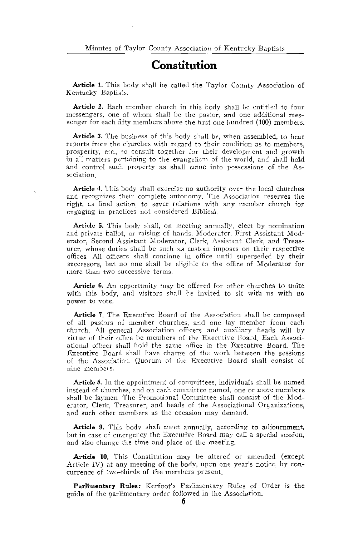### Constitution

Article 1. This body shall be called the Taylor County Association of Kentucky Baptists.

Article 2. Each member church in this body shall be entitled to four messengers, one of whom shall be the pastor, and one additional messenger for each fifty members above the first one hundred (100) members.

Article 3. The business of this body shall be, when assembled, to hear reports from the churches with regard to their condition as to members, prosperity, etc., to consult together for their development and growth in all matters pertaining to the evangelism of the world, and shall hold and control such property as shall come into possessions of the Association.

Article 4. This body shall exercise no authority over the local churches and recognizes their complete autonomy. The Association reserves the right, as final action, to sever relations with any member church for engaging in practices not considered Biblical.

Article 5. This body shall, on meeting annually, elect by nomination and private ballot, or raising of hands, Moderator, First Assistant Moderator, Second Assistant Moderator, Clerk, Assistant Clerk, and Treasurer, whose duties shall be such as custom imposes on their respective offices. All officers shall continue in office until superseded by their successors, but no one shall be eligible to the office of Moderator for more than two successive terms.

Article 6. An opportunity may be offered for other churches to unite with this body, and visitors shall be invited to sit with us with no power to vote.

Article 7. The Executive Board of the Association shall be composed of all pastors of member churches, and one lay member from each church. All general Association officers and auxiliary heads will by virtue of their office be members of the Executive Board, Each Associational officer shall hold the same office in the Executive Board. The Executive Board shall have charge of the work between the sessions of the Association. Quorum of the Executive Board shall consist of nine members.

Article 8. In the appointment of committees, individuals shall be named instead of churches, and on each committee named, one or more members shall be laymen. The Promotional Committee shall consist of the Moderator, Clerk, Treasurer, and heads of the Associational Organizations, and such other members as the occasion may demand.

Article 9. This body shall meet annually, according to adjournment, but in case of emergency the Executive Board may call a special session, and also change the time and place of the meeting.

Article 10. This Constitution may be altered or amended (except Article IV) at any meeting of the body, upon one year's notice, by concurrence of two-thirds of the members present.

Parlimentary Rules: Kerfoot's Parlimentary Rules of Order is the guide of the parlimentary order followed in the Association.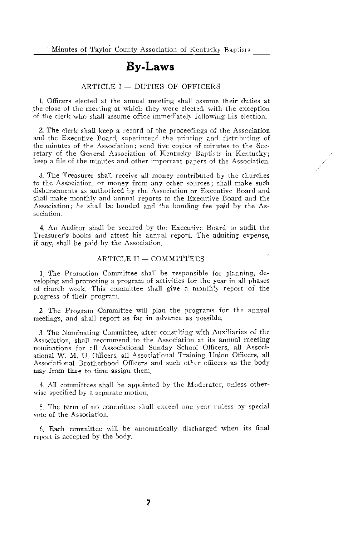### **By-Laws**

#### ARTICLE I - DUTIES OF OFFICERS

1. Officers elected at the annual meeting shall assume their duties at the close of the meeting at which they were elected, with the exception of the clerk who shall assume office immediately following his election.

2. The clerk shall keep a record of the proceedings of the Association and the Executive Board, superintend the printing and distributing of the minutes of the Association; send five copies of minutes to the Secretary of the General Association of Kentucky Baptists in Kentucky: keep a file of the minutes and other important papers of the Association.

3. The Treasurer shall receive all money contributed by the churches to the Association, or money from any other sources; shall make such disbursements as authorized by the Association or Executive Board and shall make monthly and annual reports to the Executive Board and the Association; he shall be bonded and the bonding fee paid by the Association.

4. An Auditor shall be secured by the Executive Board to audit the Treasurer's books and attest his annual report. The aduiting expense, if any, shall be paid by the Association.

#### ARTICLE II - COMMITTEES

1. The Promotion Committee shall be responsible for planning, developing and promoting a program of activities for the year in all phases of church work. This committee shall give a monthly report of the progress of their program.

2. The Program Committee will plan the programs for the annual meetings, and shall report as far in advance as possible.

3. The Nominating Committee, after consulting with Auxiliaries of the Association, shall recommend to the Association at its annual meeting nominations for all Associational Sunday School Officers, all Associational W. M. U. Officers, all Associational Training Union Officers, all Associational Brotherhood Officers and such other officers as the body niav from time to time assign them.

4. All committees shall be appointed by the Moderator, unless otherwise specified by a separate motion.

5. The term of no committee shall exceed one year unless by special vote of the Association.

6. Each committee will be automatically discharged when its final report is accepted by the body.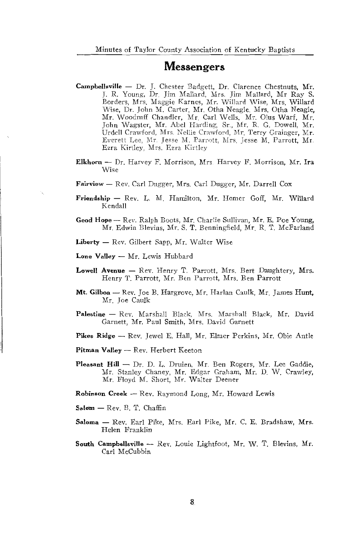### **Messengers**

- Campbellsville Dr. J. Chester Badgett, Dr. Clarence Chestnuts, Mr. J. R. Young, Dr. Jim Mallard, Mrs. Jim Mallard, Mr Ray S. Borders, Mrs. Maggie Karnes, Mr. Willard Wise, Mrs. Willard Wise, Dr. John M. Carter, Mr. Otha Neagle, Mrs. Otha Neagle, Mr. Woodruff Chandler, Mr. Carl Wells, Mr. Olus Warf, Mr. John Wagster, Mr. Abel Harding, Sr., Mr. R. G. Dowell, Mr. Urdell Crawford, Mrs. Nellie Crawford, Mr. Terry Grainger, Mr. Everett Lee, Mr. Jesse M. Parrott, Mrs. Jesse M. Parrott, Mr. Ezra Kirtley, Mrs. Ezra Kirtley
- Elkhorn Dr. Harvey F. Morrison, Mrs. Harvey F. Morrison, Mr. Ira Wise
- Fairview Rev. Carl Dugger, Mrs. Carl Dugger, Mr. Darrell Cox
- Friendship Rev. L. M. Hamilton, Mr. Homer Goff, Mr. Willard Kendall
- Good Hope Rev. Ralph Boots, Mr. Charlie Sullivan, Mr. E. Poe Young. Mr. Edwin Blevins, Mr. S. T. Benningfield, Mr. R. T. McFarland
- Liberty Rev. Gilbert Sapp, Mr. Walter Wise
- Lone Valley Mr. Lewis Hubbard
- Lowell Avenue Rev. Henry T. Parrott, Mrs. Bert Daughtery, Mrs. Henry T. Parrott, Mr. Ben Parrott, Mrs. Ben Parrott
- Mt. Gilboa Rev. Joe B. Hargrove, Mr. Harlan Caulk, Mr. James Hunt, Mr. Joe Caulk
- Palestine Rev. Marshall Black, Mrs. Marshall Black, Mr. David Garnett, Mr. Paul Smith, Mrs. David Garnett
- Pikes Ridge Rev. Jewel E. Hall, Mr. Elmer Perkins, Mr. Obie Antle
- Pitman Valley Rev. Herbert Keeton
- Pleasant Hill Dr. D. L. Druien, Mr. Ben Rogers, Mr. Lee Gaddie, Mr. Stanley Chaney, Mr. Edgar Graham, Mr. D. W. Crawley, Mr. Floyd M. Short, Mr. Walter Deener

Robinson Creek - Rev. Raymond Long, Mr. Howard Lewis

- $Salem Rev. B. T. Chaffin$
- Saloma Rev. Earl Pike, Mrs. Earl Pike, Mr. C. E. Bradshaw, Mrs. Helen Franklin
- South Campbellsville Rev. Louie Lightfoot, Mr. W. T. Blevins, Mr. Carl McCubbin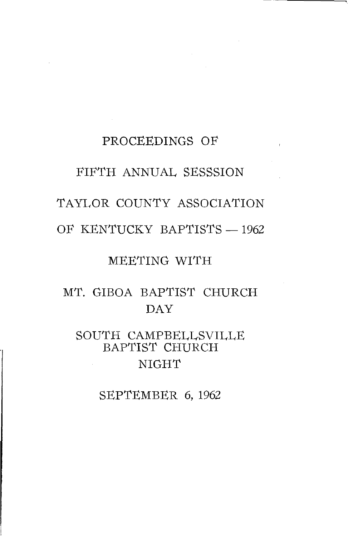# PROCEEDINGS OF FIFTH ANNUAL SESSSION TAYLOR COUNTY ASSOCIATION OF KENTUCKY BAPTISTS - 1962

### MEETING WITH

### MT. GIBOA BAPTIST CHURCH **DAY**

### SOUTH CAMPBELLSVILLE BAPTIST CHURCH **NIGHT**

SEPTEMBER 6, 1962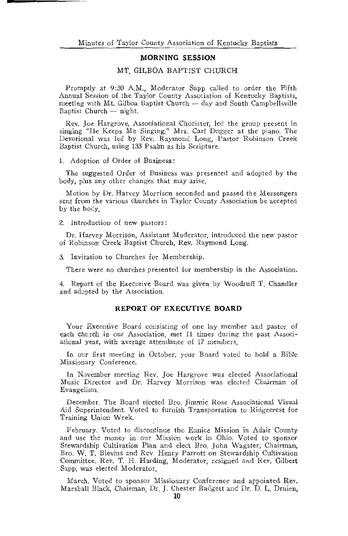#### MORNING SESSION

#### MT GILBOA BAPTIST CHURCH

Promptly at 9:30 A.M.. Moderator Sapp called to order the Fifth Annual Session of the Taylor County Association of Kentucky Baptists, meeting with Mt. Gilboa Baptist Church - day and South Campbellsville Baptist Church - night.

Rev. Joe Hargrove, Associational Chorister, led the group present in singing "He Keeps Me Singing," Mrs. Carl Dugger at the piano. The Devotional was led by Rev. Raymond Long, Pastor Robinson Creek Baptist Church, using 133 Psalm as his Scripture.

1. Adoption of Order of Business:

The suggested Order of Business was presented and adopted by the body, plus any other changes that may arise.

Motion by Dr. Harvey Morrison seconded and passed the Messengers sent from the various churches in Taylor County Association be accepted by the body.

2. Introduction of new pastors:

Dr. Harvey Morrison, Assistant Moderator, introduced the new pastor of Robinson Creek Baptist Church, Rev. Raymond Long.

3. Invitation to Churches for Membership.

There were no churches presented for membership in the Association.

4. Report of the Executive Board was given by Woodruff T. Chandler and adopted by the Association.

#### REPORT OF EXECUTIVE BOARD

Your Executive Board consisting of one lay member and pastor of each church in our Association, met 11 times during the past Associational year, with average attendance of 17 members.

In our first meeting in October, your Board voted to hold a Bible Missionary Conference.

In November meeting Rev. Joe Hargrove was elected Associational Music Director and Dr. Harvey Morrison was elected Chairman of Evangelism.

December, The Board elected Bro. Jimmie Rose Associational Visual Aid Superintendent. Voted to furnish Transportation to Ridgecrest for Training Union Week.

February. Voted to discontinue the Eunice Mission in Adair County and use the money in our Mission work in Ohio. Voted to sponsor Stewardship Cultivation Plan and elect Bro. John Wagster, Chairman, Bro. W. T. Blevins and Rev. Henry Parrott on Stewardship Cultivation Committee. Rev. T. H. Harding, Moderator, resigned and Rev. Gilbert Sapp, was elected Moderator.

March. Voted to sponsor Missionary Conference and appointed Rev. Marshall Black, Chairman, Dr. J. Chester Badgett and Dr. D. L. Druien,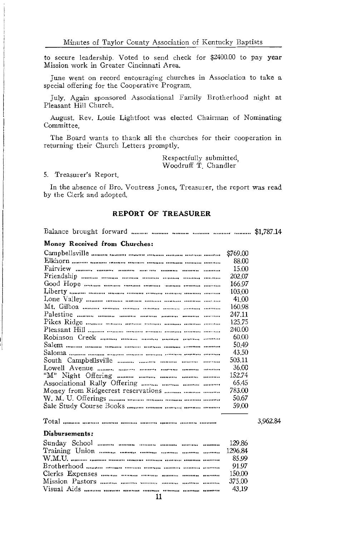to secure leadership. Voted to send check for \$2400.00 to pay year Mission work in Greater Cincinnati Area.

June went on record encouraging churches in Association to take a special offering for the Cooperative Program.

July. Again sponsored Associational Family Brotherhood night at Pleasant Hill Church.

August. Rev. Louie Lightfoot was elected Chairman of Nominating Committee

The Board wants to thank all the churches for their cooperation in returning their Church Letters promptly.

> Respectfully submitted. Woodruff T. Chandler

5. Treasurer's Report.

In the absence of Bro. Vontress Jones, Treasurer, the report was read by the Clerk and adopted.

#### **REPORT OF TREASURER**

#### Money Received from Churches:

|                                                              | \$769,00 |          |
|--------------------------------------------------------------|----------|----------|
|                                                              | 88.00    |          |
|                                                              | 15.00    |          |
|                                                              | 202.07   |          |
|                                                              | 166.97   |          |
|                                                              | 103.00   |          |
|                                                              | 41.00    |          |
|                                                              | 160.98   |          |
|                                                              | 247.11   |          |
|                                                              | 125.75   |          |
|                                                              | 240.00   |          |
|                                                              | 60.00    |          |
|                                                              | 50.49    |          |
|                                                              | 43.50    |          |
|                                                              | 503.11   |          |
|                                                              | 36.00    |          |
|                                                              | 152.74   |          |
|                                                              | 65.45    |          |
| Money from Ridgecrest reservations                           | 783.00   |          |
|                                                              | 50.67    |          |
|                                                              | 59,00    |          |
| Total <i>manus</i> manus manus muung muung manus muung muung |          | 3.962.84 |
|                                                              |          |          |
| Disbursements:                                               |          |          |
|                                                              | 129.86   |          |

|  | 150.00 |
|--|--------|
|  |        |
|  |        |
|  |        |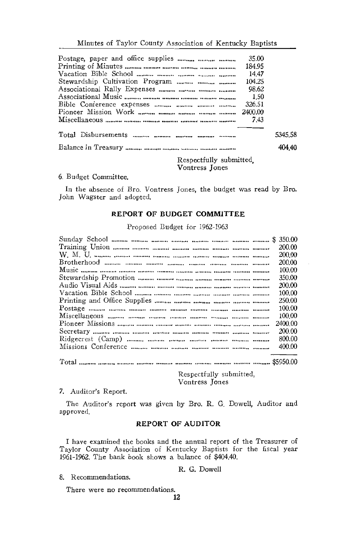|                                                                                                                                     | 35.00  |         |
|-------------------------------------------------------------------------------------------------------------------------------------|--------|---------|
|                                                                                                                                     | 184.95 |         |
|                                                                                                                                     | 1447   |         |
| Stewardship Cultivation Program                                                                                                     | 104.25 |         |
|                                                                                                                                     | 98.62  |         |
|                                                                                                                                     | 1.50   |         |
|                                                                                                                                     | 326.51 |         |
|                                                                                                                                     |        |         |
|                                                                                                                                     | 7.43   |         |
|                                                                                                                                     |        |         |
|                                                                                                                                     |        | 5345.58 |
|                                                                                                                                     |        | 404 40  |
| $\mathbf{r}$ and $\mathbf{r}$ and $\mathbf{r}$ and $\mathbf{r}$ and $\mathbf{r}$ and $\mathbf{r}$ and $\mathbf{r}$ and $\mathbf{r}$ |        |         |

Respectfully submitted, Vontress Jones

#### 6. Budget Committee.

In the absence of Bro. Vontress Jones, the budget was read by Bro. John Wagster and adopted.

#### REPORT OF BUDGET COMMITTEE

Proposed Budget for 1962-1963

|                                                                        | 200.00   |
|------------------------------------------------------------------------|----------|
|                                                                        | 200.00   |
|                                                                        | 200.00   |
|                                                                        | 100.00   |
|                                                                        | 350.00   |
|                                                                        | 200.00   |
|                                                                        | 100.00   |
|                                                                        | 250.00   |
| Postage <i>manner menner</i> manner manner manner manner manner manner | 100.00   |
|                                                                        | 100.00   |
|                                                                        | 2400.00  |
|                                                                        | 200.00   |
|                                                                        | 800.00   |
|                                                                        | 400.00   |
| $\mathbf{r}$                                                           | AFORA 00 |

Respectfully submitted, Vontress Jones

#### 7. Auditor's Report.

The Auditor's report was given by Bro. R. G. Dowell, Auditor and approved.

#### **REPORT OF AUDITOR**

I have examined the books and the annual report of the Treasurer of Taylor County Association of Kentucky Baptists for the fiscal year 1961-1962. The bank book shows a balance of \$404.40.

8. Recommendations.

R. G. Dowell

There were no recommendations.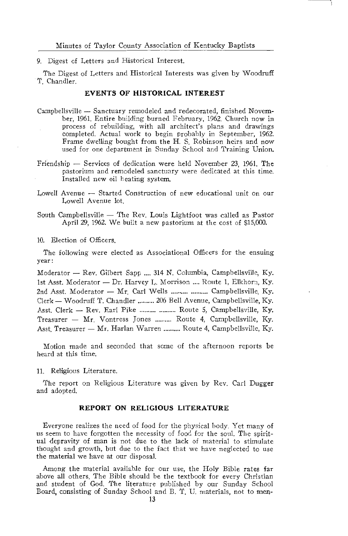Minutes of Taylor County Association of Kentucky Baptists

9. Digest of Letters and Historical Interest.

The Digest of Letters and Historical Interests was given by Woodruff T. Chandler.

#### **EVENTS OF HISTORICAL INTEREST**

- Campbellsville Sanctuary remodeled and redecorated, finished November, 1961. Entire building burned February, 1962. Church now in process of rebuilding, with all architect's plans and drawings completed. Actual work to begin probably in September, 1962. Frame dwelling bought from the H. S. Robinson heirs and now used for one department in Sunday School and Training Union.
- Friendship Services of dedication were held November 23, 1961. The pastorium and remodeled sanctuary were dedicated at this time. Installed new oil heating system.
- Lowell Avenue Started Construction of new educational unit on our Lowell Avenue lot.
- South Campbellsville The Rev. Louis Lightfoot was called as Pastor April 29, 1962. We built a new pastorium at the cost of \$15,000.

10. Election of Officers.

The following were elected as Associational Officers for the ensuing year:

Moderator - Rev. Gilbert Sapp .... 314 N. Columbia, Campbellsville, Ky. 1st Asst. Moderator - Dr. Harvey L. Morrison .... Route 1, Elkhorn. Ky. 2nd Asst. Moderator - Mr. Carl Wells .......... .......... Campbellsville, Ky. Clerk - Woodruff T. Chandler .......... 206 Bell Avenue, Campbellsville, Ky. Asst. Clerk - Rev. Earl Pike .......... .......... Route 5, Campbellsville, Ky. Treasurer - Mr. Vontress Jones .......... Route 4. Campbellsville. Ky. Asst. Treasurer - Mr. Harlan Warren .......... Route 4, Campbellsville, Ky.

Motion made and seconded that some of the afternoon reports be heard at this time.

11. Religious Literature.

The report on Religious Literature was given by Rev. Carl Dugger and adopted.

#### REPORT ON RELIGIOUS LITERATURE

Everyone realizes the need of food for the physical body. Yet many of us seem to have forgotten the necessity of food for the soul. The spiritual depravity of man is not due to the lack of material to stimulate thought and growth, but due to the fact that we have neglected to use the material we have at our disposal.

Among the material available for our use, the Holy Bible rates far above all others. The Bible should be the textbook for every Christian and student of God. The literature published by our Sunday School Board, consisting of Sunday School and B. T. U. materials, not to men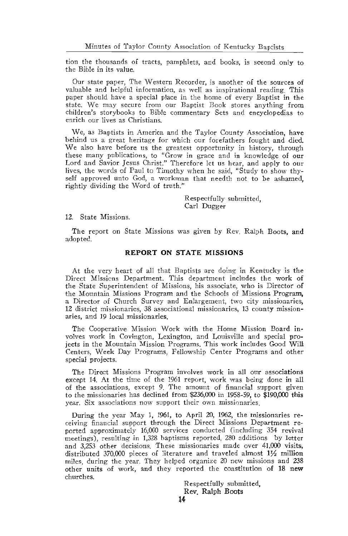tion the thousands of tracts, pamphlets, and books, is sceond only to the Bible in its value.

Our state paper, The Western Recorder, is another of the sources of valuable and helpful information, as well as inspirational reading. This paper should have a special place in the home of every Baptist in the state. We may secure from our Baptist Book stores anything from children's storybooks to Bible commentary Sets and encyclopedias to enrich our lives as Christians.

We, as Baptists in America and the Taylor County Association, have behind us a great heritage for which our forefathers fought and died. We also have before us the greatest opportunity in history, through these many publications, to "Grow in grace and in knowledge of our Lord and Savior Jesus Christ." Therefore let us hear, and apply to our lives, the words of Paul to Timothy when he said, "Study to show thyself approved unto God, a workman that needth not to be ashamed, rightly dividing the Word of truth."

> Respectfully submitted. Carl Dugger

12. State Missions.

The report on State Missions was given by Rev. Ralph Boots, and adopted.

#### **REPORT ON STATE MISSIONS**

At the very heart of all that Baptists are doing in Kentucky is the Direct Missions Department. This department includes the work of the State Superintendent of Missions, his associate, who is Director of the Mountain Missions Program and the Schools of Missions Program, a Director of Church Survey and Enlargement, two city missionaries, 12 district missionaries, 38 associational missionaries, 13 county missionaries, and 19 local missionaries.

The Cooperative Mission Work with the Home Mission Board involves work in Covington, Lexington, and Louisville and special projects in the Mountain Mission Programs. This work includes Good Will Centers, Week Day Programs, Fellowship Center Programs and other special projects.

The Direct Missions Program involves work in all our associations except 14. At the time of the 1961 report, work was being done in all of the associations, except 9. The amount of financial support given to the missionaries has declined from \$236,000 in 1958-59, to \$190,000 this year. Six associations now support their own missionaries.

During the year May 1, 1961, to April 20, 1962, the missionaries receiving financial support through the Direct Missions Department reported approximately 16,000 services conducted (including 354 revival meetings), resulting in 1,328 baptisms reported, 280 additions by letter and 3.253 other decisions. These missionaries made over 41,000 visits, distributed 370,000 pieces of literature and traveled almost 11/2 million miles, during the year. They helped organize 20 new missions and 238 other units of work, and they reported the constitution of 18 new churches.

> Respectfully submitted. Rev. Ralph Boots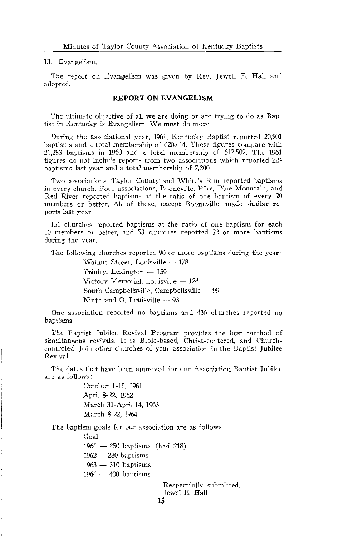13. Evangelism.

The report on Evangelism was given by Rev. Jewell E. Hall and adopted.

#### **REPORT ON EVANGELISM**

The ultimate objective of all we are doing or are trying to do as Baptist in Kentucky is Evangelism. We must do more.

During the associational year, 1961. Kentucky Baptist reported 20,901 baptisms and a total membership of 620,414. These figures compare with 21,253 baptisms in 1960 and a total membership of 617,507. The 1961 figures do not include reports from two associations which reported 224 baptisms last year and a total membership of 7,200.

Two associations, Taylor County and White's Run reported baptisms in every church. Four associations, Booneville, Pike, Pine Mountain, and Red River reported baptisms at the ratio of one baptism of every 20 members or better. All of these, except Booneville, made similar reports last year.

151 churches reported baptisms at the ratio of one baptism for each 10 members or better, and 53 churches reported 52 or more baptisms during the year.

The following churches reported 90 or more baptisms during the year:

Walnut Street, Louisville - 178 Trinity, Lexington - 159 Victory Memorial, Louisville - 124 South Campbellsville, Campbellsville - 99 Ninth and O, Louisville - 93

One association reported no baptisms and 436 churches reported no baptisms.

The Baptist Jubilee Revival Program provides the best method of simultaneous revivals. It is Bible-based, Christ-centered, and Churchcontroled. Join other churches of your association in the Baptist Jubilee Revival.

The dates that have been approved for our Association Baptist Jubilee are as follows:

> October 1-15, 1961 April 8-22, 1962 March 31-April 14, 1963 March 8-22, 1964

The baptism goals for our association are as follows:

Goal

 $1961 - 250$  baptisms (had 218)

 $1962 - 280$  baptisms

1963 - 310 baptisms

 $1964 - 400$  baptisms

Respectfully submitted, Jewel E. Hall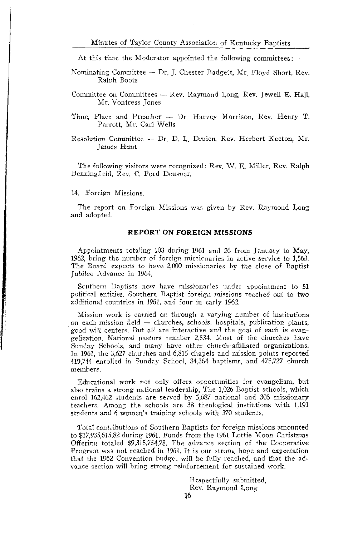#### Minutes of Taylor County Association of Kentucky Baptists

At this time the Moderator appointed the following committees:

- Nominating Committee Dr. J. Chester Badgett, Mr. Floyd Short, Rev. Ralph Boots
- Committee on Committees Rev. Raymond Long, Rev. Jewell E. Hall, Mr. Vontress Iones
- Time, Place and Preacher -- Dr. Harvey Morrison, Rev. Henry T. Parrott, Mr. Carl Wells
- Resolution Committee Dr. D. L. Druien, Rev. Herbert Keeton, Mr. James Hunt

The following visitors were recognized: Rev. W. E. Miller, Rev. Ralph Benningfield, Rev. C. Ford Deusner.

14 Foreign Missions.

The report on Foreign Missions was given by Rev. Raymond Long and adopted.

#### **REPORT ON FOREIGN MISSIONS**

Appointments totaling 103 during 1961 and 26 from January to May, 1962, bring the number of foreign missionaries in active service to 1,563. The Board expects to have 2,000 missionaries by the close of Baptist Jubilee Advance in 1964.

Southern Baptists now have missionaries under appointment to 51 political entities. Southern Baptist foreign missions reached out to two additional countries in 1961, and four in early 1962.

Mission work is carried on through a varying number of institutions on each mission field - churches, schools, hospitals, publication plants, good will centers. But all are interactive and the goal of each is evangelization. National pastors number 2,534. Most of the churches have Sunday Schools, and many have other church-affiliated organizations. In 1961, the 3,627 churches and 6,815 chapels and mission points reported 419,744 enrolled in Sunday School, 34,364 baptisms, and 475,727 church members.

Educational work not only offers opportunities for evangelism, but also trains a strong national leadership, The 1,026 Baptist schools, which enrol 162,462 students are served by 5,687 national and 305 missionary teachers. Among the schools are 38 theological instituions with 1,191 students and 6 women's training schools with 370 students.

Total contributions of Southern Baptists for foreign missions amounted to \$17,935.615.82 during 1961. Funds from the 1961 Lottie Moon Christmas Offering totaled \$9,315,754,78. The advance section of the Cooperative Program was not reached in 1961. It is our strong hope and expectation that the 1962 Convention budget will be fully reached, and that the advance section will bring strong reinforcement for sustained work.

> Respectfully submitted, Rev. Raymond Long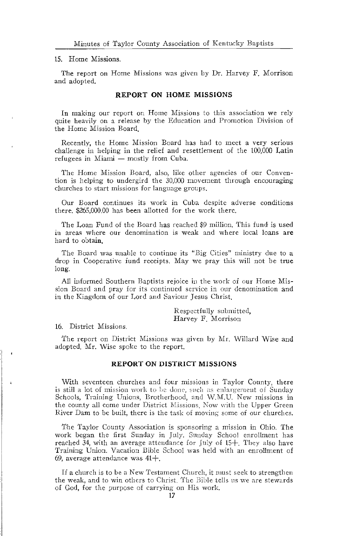#### 15. Home Missions.

The report on Home Missions was given by Dr. Harvey F. Morrison and adopted.

#### **REPORT ON HOME MISSIONS**

In making our report on Home Missions to this association we rely quite heavily on a release by the Education and Promotion Division of the Home Mission Board.

Recently, the Home Mission Board has had to meet a very serious challenge in helping in the relief and resettlement of the 100,000 Latin refugees in Miami - mostly from Cuba.

The Home Mission Board, also, like other agencies of our Convention is helping to undergird the 30,000 movement through encouraging churches to start missions for language groups.

Our Board continues its work in Cuba despite adverse conditions there, \$265,000,00 has been allotted for the work there.

The Loan Fund of the Board has reached \$9 million. This fund is used in areas where our denomination is weak and where local loans are hard to obtain.

The Board was unable to continue its "Big Cities" ministry due to a drop in Cooperative fund receipts. May we pray this will not be true long.

All informed Southern Baptists rejoice in the work of our Home Mission Board and pray for its continued service in our denomination and in the Kingdom of our Lord and Saviour Jesus Christ.

> Respectfully submitted, Harvey F. Morrison

16 District Missions

The report on District Missions was given by Mr. Willard Wise and adopted. Mr. Wise spoke to the report.

#### **REPORT ON DISTRICT MISSIONS**

With seventeen churches and four missions in Taylor County, there is still a lot of mission work to be done, such as enlargement of Sunday Schools, Training Unions, Brotherhood, and W.M.U. New missions in the county all come under District Missions. Now with the Upper Green River Dam to be built, there is the task of moving some of our churches.

The Taylor County Association is sponsoring a mission in Ohio. The work began the first Sunday in July. Sunday School enrollment has reached 34, with an average attendance for  $\lceil \text{uly} \rceil$  of 15+. They also have Training Union. Vacation Bible School was held with an enrollment of 69, average attendance was  $41 +$ .

If a church is to be a New Testament Church, it must seek to strengthen the weak, and to win others to Christ. The Bible tells us we are stewards of God, for the purpose of carrying on His work.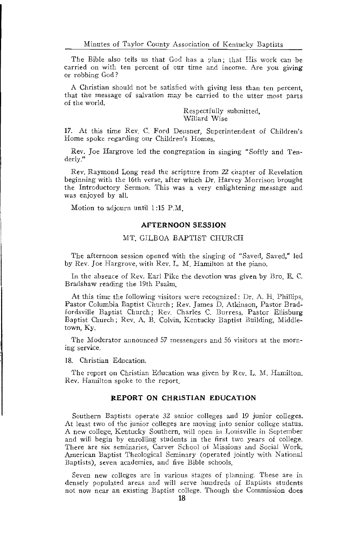The Bible also tells us that God has a plan; that His work can be carried on with ten percent of our time and income. Are you giving or robbing God?

A Christian should not be satisfied with giving less than ten percent, that the message of salvation may be carried to the utter most parts of the world.

> Respectfully submitted. Willard Wise

17. At this time Rev. C. Ford Deusner, Superintendent of Children's Home spoke regarding our Children's Homes.

Rev. Joe Hargrove led the congregation in singing "Softly and Tenderly."

Rev. Raymond Long read the scripture from 22 chapter of Revelation beginning with the 16th verse, after which Dr. Harvey Morrison brought the Introductory Sermon. This was a very enlightening message and was enjoyed by all.

Motion to adjourn until 1:15 P.M.

#### **AFTERNOON SESSION**

#### MT. GILBOA BAPTIST CHURCH

The afternoon session opened with the singing of "Saved, Saved," led by Rev. Joe Hargrove, with Rev. L. M. Hamilton at the piano.

In the absence of Rev. Earl Pike the devotion was given by Bro E.C. Bradshaw reading the 19th Psalm.

At this time the following visitors were recognized: Dr. A. H. Phillips, Pastor Columbia Baptist Church; Rev. James D. Atkinson, Pastor Bradfordsville Baptist Church; Rev. Charles C. Burress, Pastor Ellisburg Baptist Church; Rev. A. B. Colvin, Kentucky Baptist Building, Middletown, Ky.

The Moderator announced 57 messengers and 56 visitors at the morning service.

18. Christian Education.

The report on Christian Education was given by Rev. I. M. Hamilton. Rev. Hamilton spoke to the report.

#### REPORT ON CHRISTIAN EDUCATION

Southern Baptists operate 32 senior colleges and 19 junior colleges. At least two of the junior colleges are moving into senior college status. A new college, Kentucky Southern, will open in Louisville in September and will begin by enrolling students in the first two years of college. There are six seminaries, Carver School of Missions and Social Work, American Baptist Theological Seminary (operated jointly with National Baptists), seven academies, and five Bible schools.

Seven new colleges are in various stages of planning. These are in densely populated areas and will serve hundreds of Baptists students not now near an existing Baptist college. Though the Commission does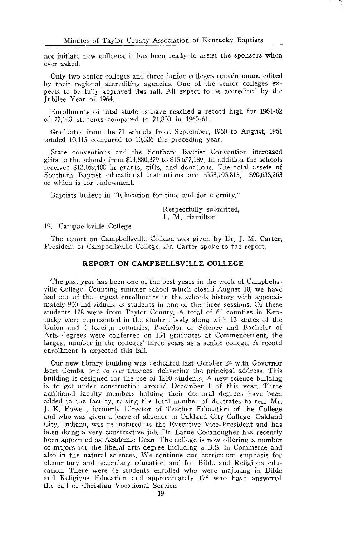not initiate new colleges, it has been ready to assist the sponsors when ever asked.

Only two senior colleges and three junior colleges remain unaccredited by their regional accrediting agencies. One of the senior colleges expects to be fully approved this fall. All expect to be accredited by the Jubilee Year of 1964.

Enrollments of total students have reached a record high for 1961-62 of 77,143 students compared to 71,800 in 1960-61.

Graduates from the 71 schools from September, 1960 to August, 1961 totaled 10,415 compared to 10,336 the preceding year.

State conventions and the Southern Baptist Convention increased gifts to the schools from \$14,880,879 to \$15,677,189. In addition the schools received \$12,169,480 in grants, gifts, and donations. The total assets of Southern Baptist educational institutions are \$358,795,815, \$90,638,263 of which is for endowment.

Baptists believe in "Education for time and for eternity."

Respectfully submitted. L. M. Hamilton

19. Campbellsville College.

The report on Campbellsville College was given by Dr. J. M. Carter, President of Campbellsville College Dr. Carter spoke to the report.

#### REPORT ON CAMPBELLSVILLE COLLEGE

The past year has been one of the best years in the work of Campbellsville College. Counting summer school which closed August 10, we have had one of the largest enrollments in the schools history with approximately 900 individuals as students in one of the three sessions. Of these students 178 were from Taylor County. A total of 62 counties in Kentucky were represented in the student body along with 13 states of the Union and 4 foreign countries. Bachelor of Science and Bachelor of Arts degrees were conferred on 154 graduates at Commencement, the largest number in the colleges' three years as a senior college. A record enrollment is expected this fall.

Our new library building was dedicated last October 24 with Governor Bert Combs, one of our trustees, delivering the principal address. This building is designed for the use of 1200 students. A new science building is to get under construction around December 1 of this year. Three additional faculty members holding their doctoral degrees have been added to the faculty, raising the total number of doctrates to ten. Mr. J. K. Powell, formerly Director of Teacher Education of the College and who was given a leave of absence to Oakland City College, Oakland City, Indiana, was re-instated as the Executive Vice-President and has been doing a very constructive job. Dr. Larue Cocanougher has recently been appointed as Academic Dean. The college is now offering a number of majors for the liberal arts degree including a B.S. in Commerce and also in the natural sciences. We continue our curriculum emphasis for elementary and secondary education and for Bible and Religious education. There were 48 students enrolled who were majoring in Bible and Religious Education and approximately 175 who have answered the call of Christian Vocational Service.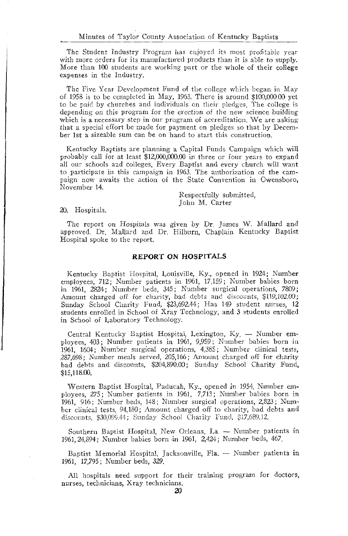The Student Industry Program has enjoyed its most profitable year with more orders for its manufactured products than it is able to supply. More than 100 students are working part or the whole of their college expenses in the Industry.

The Five Year Development Fund of the college which began in May of 1958 is to be completed in May, 1963. There is around \$100,000.00 yet to be paid by churches and individuals on their pledges. The college is depending on this program for the erection of the new science building which is a necessary step in our program of accreditation. We are asking that a special effort be made for payment on pledges so that by December 1st a sizeable sum can be on hand to start this construction.

Kentucky Baptists are planning a Capital Funds Campaign which will probably call for at least \$12,000,000.00 in three or four years to expand all our schools and colleges. Every Baptist and every church will want to participate in this campaign in 1963. The authorization of the campaign now awaits the action of the State Convention in Owensboro, November 14.

> Respectfully submitted. John M. Carter

20. Hospitals.

The report on Hospitals was given by Dr. James W. Mallard and approved. Dr. Mallard and Dr. Hilburn, Chaplain Kentucky Baptist Hospital spoke to the report.

#### **REPORT ON HOSPITALS**

Kentucky Baptist Hospital, Louisville, Ky., opened in 1924; Number employees, 712; Number patients in 1961, 17,159; Number babies born in 1961, 2824; Number beds, 345; Number surgical operations, 7809; Amount charged off for charity, bad debts and discounts, \$119,102.00; Sunday School Charity Fund, \$23,692.44; Has 149 student nurses, 12 students enrolled in School of Xray Technology, and 3 students enrolled in School of Laboratory Technology.

Central Kentucky Baptist Hospital, Lexington, Ky. - Number employees, 403; Number patients in 1961, 9,959; Number babies born in 1961, 1604; Number surgical operations, 4,385; Number clinical tests, 287,698; Number meals served, 205,166; Amount charged off for charity bad debts and discounts, \$204,890.00; Sunday School Charity Fund, \$15,118.00.

Western Baptist Hospital, Paducah, Ky., opened in 1954. Number employees, 275; Number patients in 1961, 7,713; Number babies born in 1961, 916; Number beds, 148; Number surgical operations, 2,823; Number clinical tests, 94,180; Amount charged off to charity, bad debts and discounts, \$30,099.44; Sunday School Charity Fund, \$17,689.12.

Southern Baptist Hospital, New Orleans, La. - Number patients in 1961, 24,894; Number babies born in 1961, 2,424; Number beds, 467.

Baptist Memorial Hospital, Jacksonville, Fla. -- Number patients in 1961, 17,795; Number beds, 329.

All hospitals need support for their training program for doctors, nurses, technicians, Xray technicians.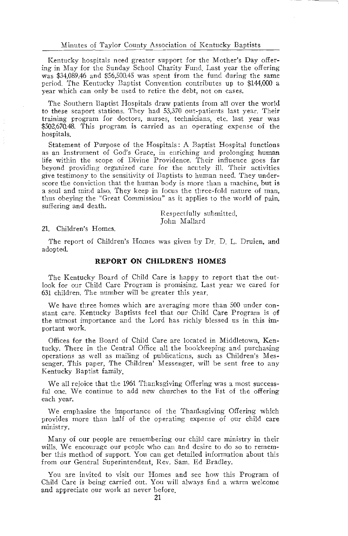Kentucky hospitals need greater support for the Mother's Day offering in May for the Sunday School Charity Fund. Last year the offering was \$34,089.46 and \$56,500.45 was spent from the fund during the same period. The Kentucky Baptist Convention contributes up to \$144,000 a year which can only be used to retire the debt, not on cases.

The Southern Bantist Hospitals draw patients from all over the world to these seaport stations. They had 53,370 out-patients last year. Their training program for doctors, nurses, technicians, etc. last year was \$502.670.48. This program is carried as an operating expense of the hospitals.

Statement of Purpose of the Hospitals: A Baptist Hospital functions as an Instrument of God's Grace, in enriching and prolonging human life within the scope of Divine Providence. Their influence goes far beyond providing organized care for the acutely ill. Their activities give testimony to the sensitivity of Baptists to human need. They underscore the conviction that the human body is more than a machine, but is a soul and mind also. They keep in focus the three-fold nature of man, thus obeying the "Great Commission" as it applies to the world of pain, suffering and death.

> Respectfully submitted, John Mallard

21. Children's Homes.

The report of Children's Homes was given by Dr. D. L. Druien, and adopted.

#### **REPORT ON CHILDREN'S HOMES**

The Kentucky Board of Child Care is happy to report that the outlook for our Child Care Program is promising. Last year we cared for 631 children. The number will be greater this year.

We have three homes which are averaging more than 500 under constant care. Kentucky Baptists feel that our Child Care Program is of the utmost importance and the Lord has richly blessed us in this important work.

Offices for the Board of Child Care are located in Middletown, Kentucky. There in the Central Office all the bookkeeping and purchasing operations as well as mailing of publications, such as Children's Messenger. This paper, The Children' Messenger, will be sent free to any Kentucky Baptist family.

We all rejoice that the 1961 Thanksgiving Offering was a most successful one. We continue to add new churches to the list of the offering each year.

We emphasize the importance of the Thanksgiving Offering which provides more than half of the operating expense of our child care ministry.

Many of our people are remembering our child care ministry in their wills. We encourage our people who can and desire to do so to remember this method of support. You can get detailed information about this from our General Superintendent, Rev. Sam. Ed Bradley.

You are invited to visit our Homes and see how this Program of Child Care is being carried out. You will always find a warm welcome and appreciate our work as never before.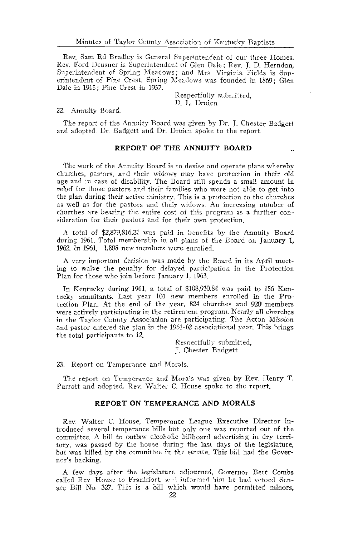Rev. Sam Ed Bradley is General Superintendent of our three Homes. Rev. Ford Deusner is Superintendent of Glen Dale; Rev. I. D. Herndon. Superintendent of Spring Meadows; and Mrs. Virginia Fields is Superintendent of Pine Crest. Spring Meadows was founded in 1869; Glen Dale in 1915; Pine Crest in 1957.

> Respectfully submitted. D. L. Druien

#### 22. Annuity Board.

The report of the Annuity Board was given by Dr. J. Chester Badgett and adopted. Dr. Badgett and Dr. Druien spoke to the report.

#### REPORT OF THE ANNUITY BOARD

The work of the Annuity Board is to devise and operate plans whereby churches, pastors, and their widows may have protection in their old age and in case of disability. The Board still spends a small amount in relief for those pastors and their families who were not able to get into the plan during their active ministry. This is a protection to the churches as well as for the pastors and their widows. An increasing number of churches are bearing the entire cost of this program as a further consideration for their pastors and for their own protection.

A total of \$2,879,816.21 was paid in benefits by the Annuity Board during 1961. Total membership in all plans of the Board on January 1, 1962. In 1961, 1,808 new members were enrolled.

A very important decision was made by the Board in its April meeting to waive the penalty for delayed participation in the Protection Plan for those who join before January 1, 1963.

In Kentucky during 1961, a total of \$108,910.84 was paid to 156 Kentucky annuitants. Last year 101 new members enrolled in the Protection Plan. At the end of the year, 824 churches and 920 members were actively participating in the retirement program. Nearly all churches in the Taylor County Association are participating. The Acton Mission and pastor entered the plan in the 1961-62 associational year. This brings the total participants to 12.

> Respectfully submitted. J. Chester Badgett

23. Report on Temperance and Morals.

The report on Temperance and Morals was given by Rev. Henry T. Parrott and adopted. Rev. Walter C. House spoke to the report

#### REPORT ON TEMPERANCE AND MORALS

Rev. Walter C. House, Temperance League Executive Director introduced several temperance bills but only one was reported out of the committee. A bill to outlaw alcoholic billboard advertising in dry territory, was passed by the house during the last days of the legislature, but was killed by the committee in the senate. This bill had the Governor's backing.

A few days after the legislature adjourned. Governor Bert Combs called Rev. House to Frankfort, and informed him he had vetoed Senate Bill No. 327. This is a bill which would have permitted minors,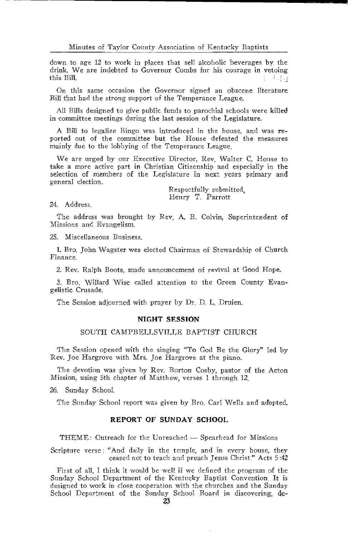down to age 12 to work in places that sell alcoholic beverages by the drink. We are indebted to Governor Combs for his courage in vetoing this Bill  $-1.1.1$ 

On this same occasion the Governor signed an obscene literature Bill that had the strong support of the Temperance League.

All Bills designed to give public funds to parochial schools were killed in committee meetings during the last session of the Legislature.

A Bill to legalize Bingo was introduced in the house, and was reported out of the committee but the House defeated the measures mainly due to the lobbying of the Temperance League.

We are urged by our Executive Director, Rev. Walter C. House to take a more active part in Christian Citizenship and especially in the selection of members of the Legislature in next years primary and general election.

> Respectfully submitted. Henry T. Parrott

24 Address

The address was brought by Rev. A. B. Colvin, Superintendent of Missions and Evangelism.

25. Miscellaneous Business.

1. Bro, John Wagster wes elected Chairman of Stewardship of Church Finance.

2. Rev. Ralph Boots, made announcement of revival at Good Hope.

3. Bro. Willard Wise called attention to the Green County Evangelistic Crusade.

The Session adjourned with prayer by Dr. D. L. Druien.

#### **NIGHT SESSION**

#### SOUTH CAMPBELLSVILLE BAPTIST CHURCH

The Session opened with the singing "To God Be the Glory" led by Rev. Joe Hargrove with Mrs. Joe Hargrove at the piano.

The devotion was given by Rev. Burton Cosby, pastor of the Acton Mission, using 5th chapter of Matthew, verses 1 through 12.

26. Sunday School.

The Sunday School report was given by Bro. Carl Wells and adopted.

#### REPORT OF SUNDAY SCHOOL

THEME: Outreach for the Unreached — Spearhead for Missions

Scripture verse: "And daily in the temple, and in every house, they ceased not to teach and preach Jesus Christ." Acts 5:42

First of all, I think it would be well if we defined the program of the Sunday School Department of the Kentucky Baptist Convention It is designed to work in close cooperation with the churches and the Sunday School Department of the Sunday School Board in discovering, de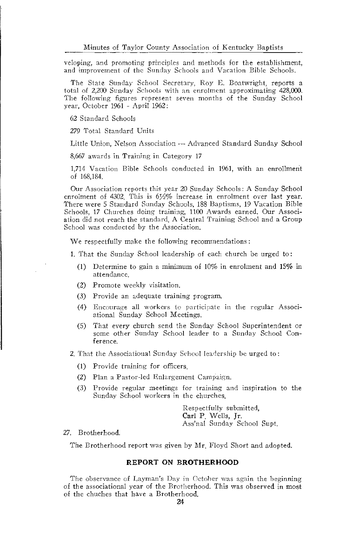veloping, and promoting principles and methods for the establishment, and improvement of the Sunday Schools and Vacation Bible Schools.

The State Sunday School Secretary, Roy E. Boatwright, reports a total of 2,200 Sunday Schools with an enrolment approximating 428,000. The following figures represent seven months of the Sunday School year, October 1961 - April 1962:

62 Standard Schools

279 Total Standard Units

Little Union, Nelson Association - Advanced Standard Sunday School

8,667 awards in Training in Category 17

1,714 Vacation Bible Schools conducted in 1961, with an enrollment of 168,184.

Our Association reports this year 20 Sunday Schools: A Sunday School enrolment of 4302. This is 6½% increase in enrolment over last year. There were 5 Standard Sunday Schools, 188 Baptisms, 19 Vacation Bible Schools, 17 Churches doing training, 1100 Awards earned. Our Association did not reach the standard. A Central Training School and a Group School was conducted by the Association.

We respectfully make the following recommendations:

1. That the Sunday School leadership of each church be urged to:

- (1) Determine to gain a minimum of 10% in enrolment and 15% in attendance
- (2) Promote weekly visitation.
- (3) Provide an adequate training program.
- (4) Encourage all workers to participate in the regular Associational Sunday School Meetings.
- (5) That every church send the Sunday School Superintendent or some other Sunday School leader to a Sunday School Conference.
- 2. That the Associational Sunday School leadership be urged to:
	- (1) Provide training for officers.
	- (2) Plan a Pastor-led Enlargement Campaign.
	- (3) Provide regular meetings for training and inspiration to the Sunday School workers in the churches.

Respectfully submitted, Carl P. Wells, Jr. Ass'nal Sunday School Supt.

#### 27. Brotherhood.

The Brotherhood report was given by Mr. Floyd Short and adopted.

#### REPORT ON BROTHERHOOD

The observance of Layman's Day in October was again the beginning of the associational year of the Brotherhood. This was observed in most of the chuches that have a Brotherhood.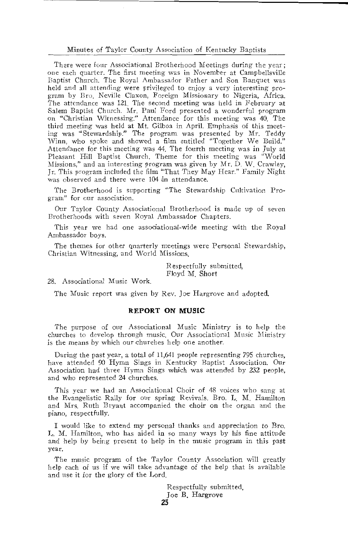#### Minutes of Taylor County Association of Kentucky Baptists

There were four Associational Brotherhood Meetings during the year: one each quarter. The first meeting was in November at Campbellsville Baptist Church. The Royal Ambassador Father and Son Banquet was held and all attending were privileged to enjoy a very interesting program by Bro. Neville Claxon, Foreign Missionary to Nigeria, Africa, The attendance was 121. The second meeting was held in February at Salem Baptist Church. Mr. Paul Ford presented a wonderful program<br>on "Christian Witnessing." Attendance for this meeting was 40. The third meeting was held at Mt. Gilboa in April. Emphasis of this meeting was "Stewardship." The program was presented by Mr. Teddy Winn, who spoke and showed a film entitled "Together We Build." Attendance for this meeting was 44. The fourth meeting was in July at Pleasant Hill Baptist Church. Theme for this meeting was "World Missions," and an interesting program was given by Mr. D. W. Crawley. Jr. This program included the film "That They May Hear." Family Night was observed and there were 104 in attendance.

The Brotherhood is supporting "The Stewardship Cultivation Program" for our association.

Our Taylor County Associational Brotherhood is made up of seven Brotherhoods with seven Royal Ambassador Chapters.

This year we had one associational-wide meeting with the Royal Ambassador boys.

The themes for other quarterly meetings were Personal Stewardship, Christian Witnessing, and World Missions.

> Respectfully submitted. Floyd M. Short

28. Associational Music Work.

The Music report was given by Rev. Joe Hargrove and adopted.

#### **REPORT ON MUSIC**

The purpose of our Associational Music Ministry is to help the churches to develop through music. Our Associational Music Ministry is the means by which our churches help one another.

During the past year, a total of 11,641 people representing 795 churches, have attended 90 Hymn Sings in Kentucky Baptist Association. Our Association had three Hymn Sings which was attended by 232 people, and who represented 24 churches.

This year we had an Associational Choir of 48 voices who sang at the Evangelistic Rally for our spring Revivals, Bro. I. M. Hamilton and Mrs. Ruth Bryant accompanied the choir on the organ and the piano, respectfully.

I would like to extend my personal thanks and appreciation to Bro. L. M. Hamilton, who has aided in so many ways by his fine attitude and help by being present to help in the music program in this past vear.

The music program of the Taylor County Association will greatly help each of us if we will take advantage of the help that is available and use it for the glory of the Lord.

> Respectfully submitted, Joe B. Hargrove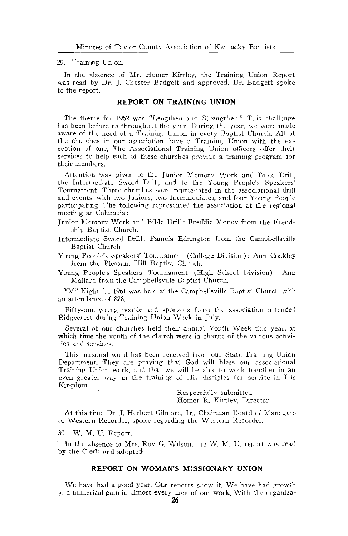#### 29. Training Union.

In the absence of Mr. Homer Kirtley, the Training Union Report was read by Dr. J. Chester Badgett and approved. Dr. Badgett spoke to the report.

#### REPORT ON TRAINING UNION

The theme for 1962 was "Lengthen and Strengthen." This challenge has been before us throughout the year. During the year, we were made aware of the need of a Training Union in every Baptist Church. All of the churches in our association have a Training Union with the exception of one. The Associational Training Union officers offer their services to help each of these churches provide a training program for their members.

Attention was given to the Junior Memory Work and Bible Drill, the Intermediate Sword Drill, and to the Young People's Speakers' Tournament. Three churches were represented in the associational drill and events, with two Juniors, two Intermediates, and four Young People participating. The following represented the association at the regional meeting at Columbia:

Junior Memory Work and Bible Drill: Freddie Money from the Frendship Baptist Church.

Intermediate Sword Drill: Pamela Edrington from the Campbellsville Baptist Church.

Young People's Speakers' Tournament (College Division): Ann Coakley from the Pleasant Hill Baptist Church.

Young People's Speakers' Tournament (High School Division): Ann Mallard from the Campbellsville Baptist Church.

"M" Night for 1961 was held at the Campbellsville Baptist Church with an attendance of 878.

Fifty-one young people and sponsors from the association attended Ridgecrest during Training Union Week in July.

Several of our churches held their annual Youth Week this year, at which time the youth of the church were in charge of the various activities and services.

This personal word has been received from our State Training Union Department. They are praying that God will bless our associational Training Union work, and that we will be able to work together in an even greater way in the training of His disciples for service in His Kingdom.

> Respectfully submitted, Homer R. Kirtley, Director

At this time Dr. J. Herbert Gilmore, Jr., Chairman Board of Managers of Western Recorder, spoke regarding the Western Recorder.

30. W. M. U. Report.

In the absence of Mrs. Roy G. Wilson, the W. M. U. report was read by the Clerk and adopted.

#### REPORT ON WOMAN'S MISSIONARY UNION

We have had a good year. Our reports show it. We have had growth and numerical gain in almost every area of our work. With the organiza-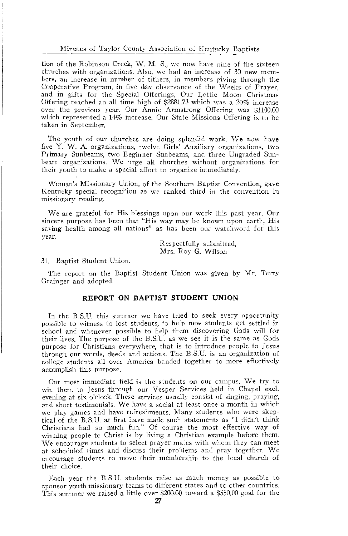#### Minutes of Taylor County Association of Kentucky Baptists

tion of the Robinson Creek, W. M. S., we now have nine of the sixteen churches with organizations. Also, we had an increase of 30 new members, an increase in number of tithers, in members giving through the Cooperative Program, in five day observance of the Weeks of Prayer, and in gifts for the Special Offerings. Our Lottie Moon Christmas Offering reached an all time high of \$2881.73 which was a 20% increase over the previous year. Our Annie Armstrong Offering was \$1100.00 which represented a 14% increase. Our State Missions Offering is to be taken in September.

The youth of our churches are doing splendid work. We now have five Y. W. A. organizations, twelve Girls' Auxiliary organizations, two Primary Sunbeams, two Beginner Sunbeams, and three Ungraded Sunbeam organizations. We urge all churches without organizations for their youth to make a special effort to organize immediately.

Woman's Missionary Union, of the Southern Baptist Convention, gave Kentucky special recognition as we ranked third in the convention in missionary reading.

We are grateful for His blessings upon our work this past year. Our sincere purpose has been that "His way may be known upon earth. His saving health among all nations" as has been our watchword for this year.

> Respectfully submitted, Mrs. Roy G. Wilson

31. Baptist Student Union.

The report on the Baptist Student Union was given by Mr. Terry Grainger and adopted.

#### REPORT ON BAPTIST STUDENT UNION

In the B.S.U, this summer we have tried to seek every opportunity possible to witness to lost students, to help new students get settled in school and whenever possible to help them discovering Gods will for their lives. The purpose of the B.S.U. as we see it is the same as Gods purpose for Christians everywhere, that is to introduce people to Jesus through our words, deeds and actions. The B.S.U. is an organization of college students all over America banded together to more effectively accomplish this purpose.

Our most immediate field is the students on our campus. We try to win them to Jesus through our Vesper Services held in Chapel each evening at six o'clock. These services usually consist of singing, praying, and short testimonials. We have a social at least once a month in which we play games and have refreshments. Many students who were skeptical of the B.S.U. at first have made such statements as "I didn't think Christians had so much fun." Of course the most effective way of winning people to Christ is by living a Christian example before them. We encourage students to select prayer mates with whom they can meet at scheduled times and discuss their problems and pray together. We encourage students to move their membership to the local church of their choice.

Each year the B.S.U. students raise as much money as possible to sponsor youth missionary teams to different states and to other countries. This summer we raised a little over \$200.00 toward a \$550.00 goal for the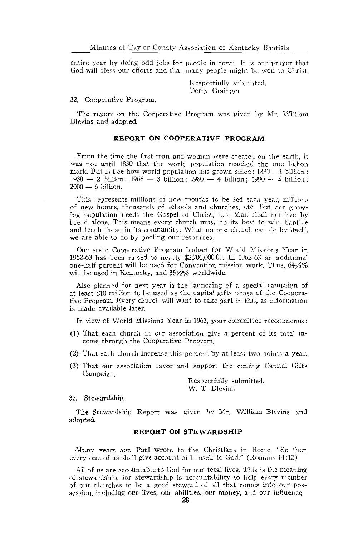entire year by doing odd jobs for people in town. It is our prayer that God will bless our efforts and that many people might be won to Christ.

> Respectfully submitted, Terry Grainger

32. Cooperative Program.

The report on the Cooperative Program was given by Mr. William Blevins and adopted

#### **REPORT ON COOPERATIVE PROGRAM**

From the time the first man and woman were created on the earth, it was not until 1830 that the world population reached the one billion mark. But notice how world population has grown since: 1830 --1 billion;  $1930 - 2$  billion;  $1965 - 3$  billion;  $1980 - 4$  billion;  $1990 - 5$  billion;  $2000 - 6$  billion.

This represents millions of new mouths to be fed each year, millions of new homes, thousands of schools and churches, etc. But our growing population needs the Gospel of Christ, too. Man shall not live by bread alone. This means every church must do its best to win, baptize and teach those in its community. What no one church can do by itself. we are able to do by pooling our resources.

Our state Cooperative Program budget for World Missions Year in 1962-63 has been raised to nearly \$2,700,000.00. In 1962-63 an additional one-half percent will be used for Convention mission work. Thus, 641/2% will be used in Kentucky, and 351/2% worldwide.

Also planned for next year is the launching of a special campaign of at least \$10 million to be used as the capital gifts phase of the Cooperative Program. Every church will want to take part in this, as information is made available later.

In view of World Missions Year in 1963, your committee recommends:

- (1) That each church in our association give a percent of its total income through the Cooperative Program
- (2) That each church increase this percent by at least two points a year.
- (3) That our association favor and support the coming Capital Gifts Campaign.

Respectfully submitted. W. T. Blevins

33. Stewardship.

The Stewardship Report was given by Mr. William Blevins and adopted.

#### **REPORT ON STEWARDSHIP**

Many vears ago Paul wrote to the Christians in Rome, "So then every one of us shall give account of himself to God." (Romans 14:12)

All of us are accountable to God for our total lives. This is the meaning of stewardship, for stewardship is accountability to help every member of our churches to be a good steward of all that comes into our possession, including our lives, our abilities, our money, and our influence.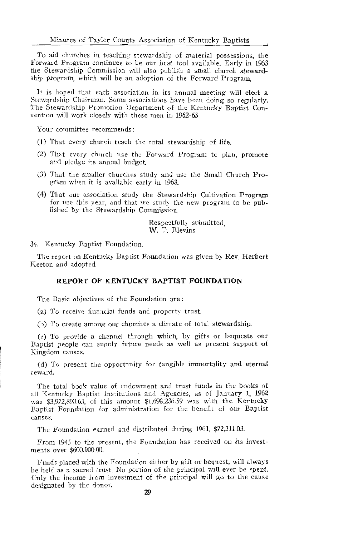To aid churches in teaching stewardship of material possessions, the Forward Program continues to be our best tool available. Early in 1963 the Stewardship Commission will also publish a small church stewardship program, which will be an adoption of the Forward Program.

It is hoped that each association in its annual meeting will elect a Stewardship Chairman. Some associations have been doing so regularly. The Stewardship Promotion Department of the Kentucky Baptist Convention will work closely with these men in 1962-63.

Your committee recommends:

- (1) That every church teach the total stewardship of life.
- (2) That every church use the Forward Program to plan, promote and pledge its annual budget.
- (3) That the smaller churches study and use the Small Church Program when it is available early in 1963.
- (4) That our association study the Stewardship Cultivation Program for use this year, and that we study the new program to be published by the Stewardship Commission

Respectfully submitted. W. T. Blevins

34. Kentucky Baptist Foundation.

The report on Kentucky Baptist Foundation was given by Rev. Herbert Keeton and adopted.

#### REPORT OF KENTUCKY BAPTIST FOUNDATION

The Basic objectives of the Foundation are:

(a) To receive financial funds and property trust.

(b) To create among our churches a climate of total stewardship.

(c) To provide a channel through which, by gifts or bequests our Baptist people can supply future needs as well as present support of Kingdom causes.

(d) To present the opportunity for tangible immortality and eternal reward.

The total book value of endowment and trust funds in the books of all Kentucky Baptist Institutions and Agencies, as of January 1, 1962 was \$3,972,890.63, of this amount \$1,698,236.59 was with the Kentucky Baptist Foundation for administration for the benefit of our Baptist  $causes$ 

The Foundation earned and distributed during 1961, \$72,311.03.

From 1945 to the present, the Foundation has received on its investments over \$600,000.00.

Funds placed with the Foundation either by gift or bequest, will always be held as a sacred trust. No portion of the principal will ever be spent. Only the income from investment of the principal will go to the cause designated by the donor.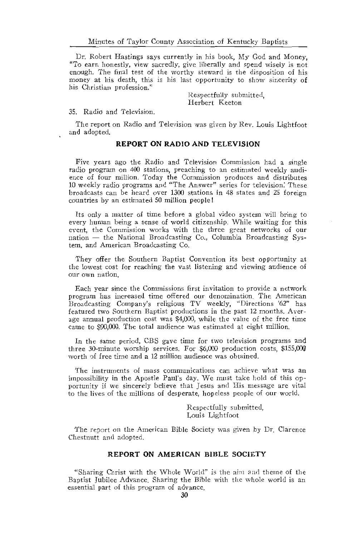Dr. Robert Hastings says currently in his book, My God and Money, "To earn honestly, view sacredly, give liberally and spend wisely is not enough. The final test of the worthy steward is the disposition of his money at his death, this is his last opportunity to show sincerity of his Christian profession."

> Respectfully submitted. Herbert Keeton

#### 35. Radio and Television.

The report on Radio and Television was given by Rev. Louis Lightfoot and adopted.

#### **REPORT ON RADIO AND TELEVISION**

Five years ago the Radio and Television Commission had a single radio program on 400 stations, preaching to an estimated weekly audience of four million. Today the Commission produces and distributes 10 weekly radio programs and "The Answer" series for television. These broadcasts can be heard over 1300 stations in 48 states and 25 foreign countries by an estimated 50 million people!

Its only a matter of time before a global video system will bring to every human being a sense of world citizenship. While waiting for this event, the Commission works with the three great networks of our nation - the National Broadcasting Co., Columbia Broadcasting System, and American Broadcasting Co.

They offer the Southern Baptist Convention its best opportunity at the lowest cost for reaching the vast listening and viewing audience of our own nation

Each year since the Commissions first invitation to provide a network program has increased time offered our denomination. The American Broadcasting Company's religious TV weekly, "Directions '62" has featured two Southern Baptist productions in the past 12 months. Average annual production cost was \$4,000, while the value of the free time came to \$90,000. The total audience was estimated at eight million.

In the same period, CBS gave time for two television programs and three 30-minute worship services. For \$6,000 production costs, \$155,000 worth of free time and a 12 million audience was obtained.

The instruments of mass communications can achieve what was an impossibility in the Apostle Paul's day. We must take hold of this opportunity if we sincerely believe that Jesus and His message are vital to the lives of the millions of desperate, hopeless people of our world.

> Respectfully submitted, Louis Lightfoot

The report on the American Bible Society was given by Dr. Clarence Chestnutt and adopted.

#### REPORT ON AMERICAN BIBLE SOCIETY

"Sharing Christ with the Whole World" is the aim and theme of the Baptist Jubilee Advance. Sharing the Bible with the whole world is an essential part of this program of advance.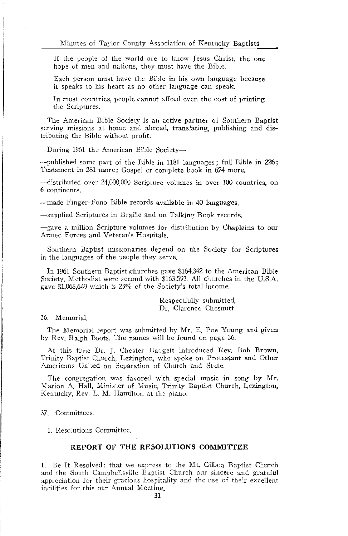If the people of the world are to know Jesus Christ, the one hope of men and nations, they must have the Bible.

Each person must have the Bible in his own language because it speaks to his heart as no other language can speak.

In most countries, people cannot afford even the cost of printing the Scriptures.

The American Bible Society is an active partner of Southern Baptist serving missions at home and abroad, translating, publishing and distributing the Bible without profit.

During 1961 the American Bible Society-

 $-published$  some part of the Bible in 1181 languages; full Bible in  $226$ ; Testament in 281 more; Gospel or complete book in 674 more.

-distributed over 24,000,000 Scripture volumes in over 100 countries, on 6 continents.

-made Finger-Fono Bible records available in 40 languages.

-supplied Scriptures in Braille and on Talking Book records.

-gave a million Scripture volumes for distribution by Chaplains to our Armed Forces and Veteran's Hospitals.

Southern Baptist missionaries depend on the Society for Scriptures in the languages of the people they serve.

In 1961 Southern Baptist churches gave \$164,342 to the American Bible Society. Methodist were second with \$163,593. All churches in the U.S.A. gave \$1,065,649 which is 23% of the Society's total income.

> Respectfully submitted. Dr. Clarence Chesnutt

36. Memorial

The Memorial report was submitted by Mr. E. Poe Young and given by Rev. Ralph Boots. The names will be found on page 36.

At this time Dr. J. Chester Badgett introduced Rev. Bob Brown, Trinity Baptist Church, Lexington, who spoke on Protestant and Other Americans United on Separation of Church and State.

The congregation was favored with special music in song by Mr. Marion A. Hall, Minister of Music, Trinity Baptist Church, Lexington, Kentucky, Rev. L. M. Hamilton at the piano.

37 Committees.

1. Resolutions Committee.

#### REPORT OF THE RESOLUTIONS COMMITTEE

1. Be It Resolved: that we express to the Mt. Gilboa Baptist Church and the South Campbellsville Baptist Church our sincere and grateful appreciation for their gracious hospitality and the use of their excellent facilities for this our Annual Meeting.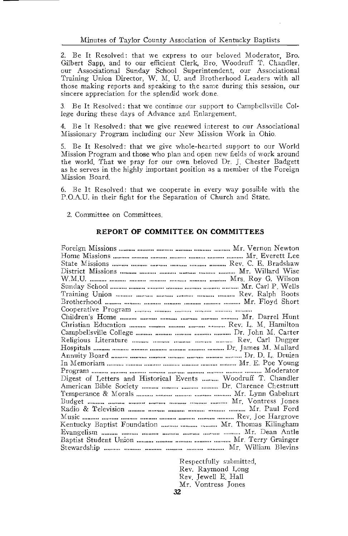2. Be It Resolved: that we express to our beloved Moderator, Bro. Gilbert Sapp, and to our efficient Clerk. Bro. Woodruff T. Chandler. our Associational Sunday School Superintendent, our Associational Training Union Director, W. M. U. and Brotherhood Leaders with all those making reports and speaking to the same during this session, our sincere appreciation for the splendid work done.

3. Be It Resolved: that we continue our support to Campbellsville College during these days of Advance and Enlargement.

4. Be It Resolved: that we give renewed interest to our Associational Missionary Program including our New Mission Work in Ohio.

5. Be It Resolved: that we give whole-hearted support to our World Mission Program and those who plan and open new fields of work around the world. That we pray for our own beloved Dr. J. Chester Badgett as he serves in the highly important position as a member of the Foreign Mission Board

6. Be It Resolved: that we cooperate in every way possible with the P.O.A.U. in their fight for the Separation of Church and State.

2. Committee on Committees.

#### REPORT OF COMMITTEE ON COMMITTEES

Digest of Letters and Historical Events .......... Woodruff T. Chandler Kentucky Baptist Foundation .......... .......... ......... Mr. Thomas Kilingham 

> Respectfully submitted, Rev. Raymond Long Rev. Jewell E. Hall Mr. Vontress Tones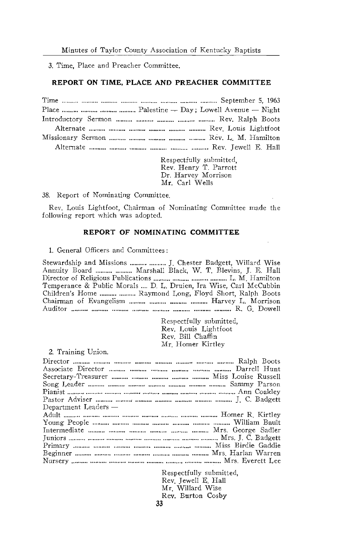3. Time. Place and Preacher Committee.

#### REPORT ON TIME, PLACE AND PREACHER COMMITTEE

| Place $\ldots$ $\ldots$ $\ldots$ $\ldots$ $\ldots$ $\ldots$ $\ldots$ $\ldots$ $\ldots$ $\ldots$ $\ldots$ $\ldots$ $\ldots$ $\ldots$ $\ldots$ $\ldots$ $\ldots$ $\ldots$ $\ldots$ $\ldots$ $\ldots$ $\ldots$ $\ldots$ $\ldots$ $\ldots$ $\ldots$ $\ldots$ $\ldots$ $\ldots$ $\ldots$ $\ldots$ $\ldots$ $\ldots$ $\ldots$ $\ldots$ $\ldots$ |
|-------------------------------------------------------------------------------------------------------------------------------------------------------------------------------------------------------------------------------------------------------------------------------------------------------------------------------------------|
|                                                                                                                                                                                                                                                                                                                                           |
|                                                                                                                                                                                                                                                                                                                                           |
|                                                                                                                                                                                                                                                                                                                                           |
|                                                                                                                                                                                                                                                                                                                                           |

Respectfully submitted Rev. Henry T. Parrott<br>Dr. Henry T. Parrott<br>Dr. Harvey Morrison Mr. Carl Wells

38. Report of Nominating Committee.

Rev. Louis Lightfoot, Chairman of Nominating Committee made the following report which was adopted.

#### REPORT OF NOMINATING COMMITTEE

1. General Officers and Committees:

Stewardship and Missions ......... ......... J. Chester Badgett, Willard Wise Annuity Board .......... .......... Marshall Black, W. T. Blevins, J. E. Hall Temperance & Public Morals .... D. L. Druien, Ira Wise, Carl McCubbin Children's Home .......... .......... Raymond Long, Floyd Short, Ralph Boots Chairman of Evangelism .......... .......... ........... Harvey L. Morrison 

> Respectfully submitted, Rev. Louis Lightfoot Rev. Bill Chaffin Mr. Homer Kirtley

2. Training Union.

| Department Leaders —                                          |  |
|---------------------------------------------------------------|--|
|                                                               |  |
|                                                               |  |
| Intermediate www. www. www. www. www. www. Mrs. George Sadler |  |
|                                                               |  |
|                                                               |  |
|                                                               |  |
|                                                               |  |
|                                                               |  |

Respectfully submitted. Rev. Jewell E. Hall Mr. Willard Wise Rev. Burton Cosby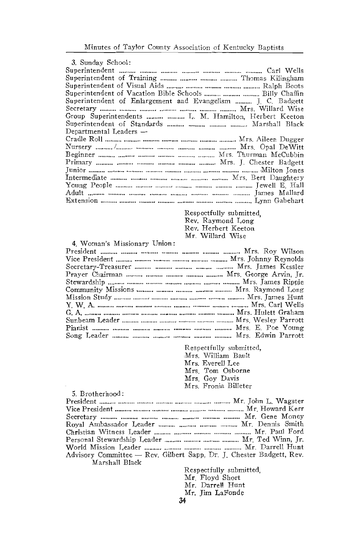| <i>a</i> . Sungay School:                                   |
|-------------------------------------------------------------|
|                                                             |
| Superintendent of Training    Thomas Kilingham              |
|                                                             |
| Superintendent of Vacation Bible Schools    Billy Chaffin   |
| Superintendent of Enlargement and Evangelism  J. C. Badgett |
|                                                             |
| Group Superintendents   L. M. Hamilton, Herbert Keeton      |
| Superintendent of Standards    Marshall Black               |
| Departmental Leaders —                                      |
|                                                             |
|                                                             |
|                                                             |
|                                                             |
|                                                             |
|                                                             |
|                                                             |
|                                                             |
|                                                             |
|                                                             |

Respectfully submitted, Rev. Raymond Long Rev. Herbert Keeton Mr. Willard Wise

#### 4. Woman's Missionary Union:

 $2011011$ 

| Song Leader Nrs Edwin Parrott |  |
|-------------------------------|--|

Respectfully submitted, Mrs. William Bault<br>Mrs. Everell Lee Mrs. Tom Osborne<br>Mrs. Goy Davis Mrs. Fronia Billeter

| 5. Brotherhood:                                                      |                                                         |
|----------------------------------------------------------------------|---------------------------------------------------------|
|                                                                      |                                                         |
|                                                                      |                                                         |
|                                                                      |                                                         |
| Royal Ambassador Leader    Mr. Dennis Smith                          |                                                         |
|                                                                      |                                                         |
| Personal Stewardship Leader    Mr. Ted Winn, Jr.                     |                                                         |
|                                                                      |                                                         |
| Advisory Committee — Rev. Gilbert Sapp. Dr. J. Chester Badgett, Rev. |                                                         |
| Marshall Black                                                       |                                                         |
|                                                                      | $\sim$ $\sim$ $\sim$ $\sim$ $\sim$ $\sim$ $\sim$ $\sim$ |

Respectfully submitted. Mr Floyd Short Mr. Darrell Hunt Mr. Jim LaFonde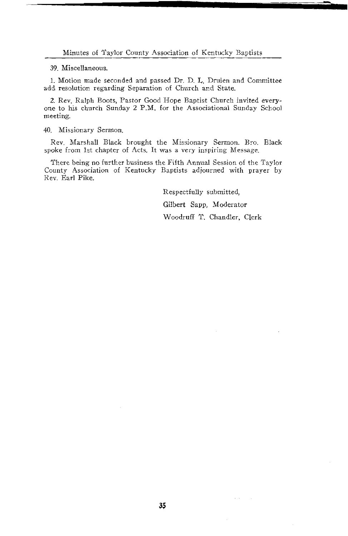Minutes of Taylor County Association of Kentucky Baptists

39. Miscellaneous.

1. Motion made seconded and passed Dr. D. L. Druien and Committee add resolution regarding Separation of Church and State.

2. Rev. Ralph Boots, Pastor Good Hope Baptist Church invited everyone to his church Sunday 2 P.M. for the Associational Sunday School meeting.

40. Missionary Sermon.

Rev. Marshall Black brought the Missionary Sermon. Bro. Black spoke from 1st chapter of Acts. It was a very inspiring Message.

There being no further business the Fifth Annual Session of the Taylor County Association of Kentucky Baptists adjourned with prayer by Rev. Earl Pike.

> Respectfully submitted, Gilbert Sapp, Moderator Woodruff T. Chandler, Clerk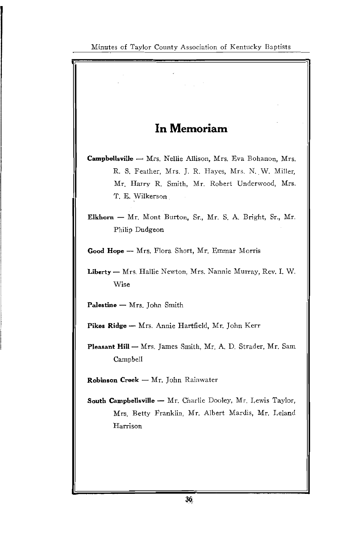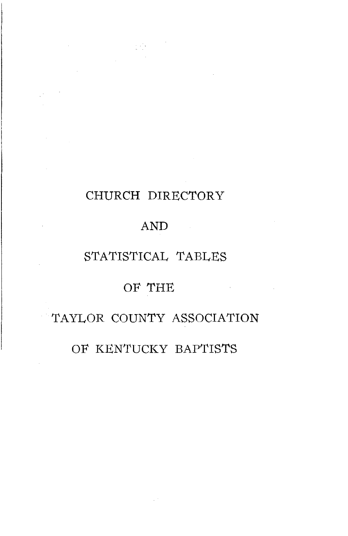### CHURCH DIRECTORY

 $\label{eq:2} \frac{1}{2}\sum_{i=1}^n\sum_{j=1}^n\left(\frac{1}{2}\sum_{j=1}^n\left(\frac{1}{2}\sum_{j=1}^n\frac{1}{2}\right)\right)^2\left(\frac{1}{2}\sum_{j=1}^n\frac{1}{2}\sum_{j=1}^n\frac{1}{2}\right)^2.$ 

### AND

### STATISTICAL TABLES

 $\mathcal{L}^{\mathcal{L}}$  and  $\mathcal{L}^{\mathcal{L}}$  and  $\mathcal{L}^{\mathcal{L}}$  and  $\mathcal{L}^{\mathcal{L}}$ 

### OF THE

### TAYLOR COUNTY ASSOCIATION

### OF KENTUCKY BAPTISTS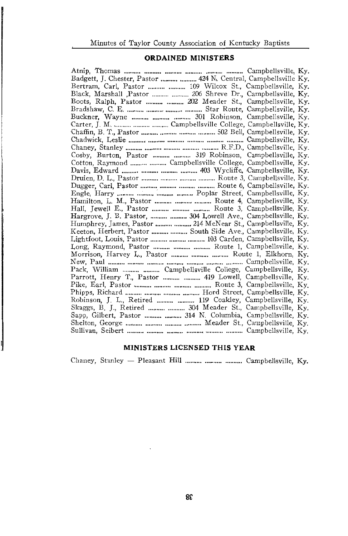#### **ORDAINED MINISTERS**

| Badgett, J. Chester, Pastor   424 N. Central, Campbellsville Ky. |
|------------------------------------------------------------------|
| Bertram, Carl, Pastor   109 Wilcox St., Campbellsville, Ky.      |
| Black, Marshall Pastor   206 Shreve Dr., Campbellsville, Ky.     |
| Boots, Ralph, Pastor   202 Meader St., Campbellsville, Ky.       |
|                                                                  |
| Buckner, Wayne    301 Robinson, Campbellsville, Ky.              |
|                                                                  |
|                                                                  |
|                                                                  |
|                                                                  |
| Cosby, Burton, Pastor   319 Robinson, Campbellsville, Ky.        |
| Cotton, Raymond   Campbellsville College, Campbellsville, Ky.    |
|                                                                  |
| Druien, D. L., Pastor    Route 3, Campbellsville, Ky.            |
|                                                                  |
|                                                                  |
| Hamilton, L. M., Pastor    Route 4, Campbellsville, Ky.          |
| Hall, Jewell E., Pastor    Route 3, Campbellsville, Ky.          |
| Hargrove, J. B. Pastor,   304 Lowell Ave., Campbellsville, Ky.   |
|                                                                  |
| Keeton, Herbert, Pastor   South Side Ave., Campbellsville, Ky.   |
| Lightfoot, Louis, Pastor    103 Carden, Campbellsville, Ky.      |
| Long, Raymond, Pastor   Route 1, Campbellsville, Ky.             |
| Morrison, Harvey L., Pastor    Route 1, Elkhorn, Ky.             |
|                                                                  |
| Pack, William   Campbellsville College, Campbellsville, Ky.      |
| Parrott, Henry T., Pastor   419 Lowell, Campbellsville, Ky.      |
|                                                                  |
|                                                                  |
| Robinson, J. L., Retired   119 Coakley, Campbellsville, Ky.      |
| Skaggs, B. J., Retired   304 Meader St., Campbellsville, Ky.     |
| Sapp, Gilbert, Pastor   314 N. Columbia, Campbellsville, Ky.     |
|                                                                  |
|                                                                  |
|                                                                  |

#### MINISTERS LICENSED THIS YEAR

Chaney, Stanley - Pleasant Hill .......... .......... ........... Campbellsville, Ky.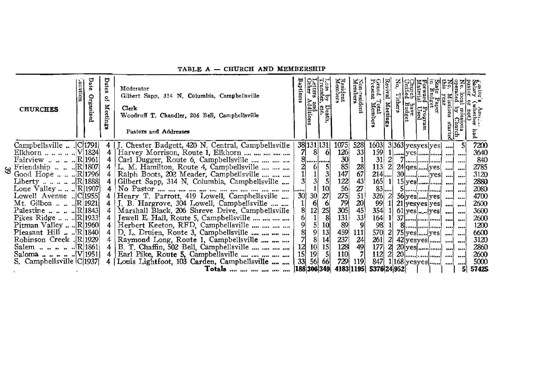| <b>CHURCHES</b>                                           | catio | Organiz | Dates<br>ዴ<br><b>Meetin</b><br>믔 | Moderator<br>Gilbert Sapp, 314 N. Columbia, Campbellsville<br>Clerk<br>Woodruff T. Chandler, 206 Bell, Campbellsville<br>Pastors and Addresses |                 | ទី<br>and<br>Additions | oss by<br>ransfer,<br>Death,<br>Eest | Resident<br>Members                           | Non-resident<br>Members                       | csent<br>$_{\rm I}^{\rm Total}$           | Revival<br>Meeting | have<br>Budget | Program<br>Used       |             |          |              |
|-----------------------------------------------------------|-------|---------|----------------------------------|------------------------------------------------------------------------------------------------------------------------------------------------|-----------------|------------------------|--------------------------------------|-----------------------------------------------|-----------------------------------------------|-------------------------------------------|--------------------|----------------|-----------------------|-------------|----------|--------------|
| Campbellsville  C[1791]<br>Elkhorn       V 1824           |       |         | 4                                | 4   J. Chester Badgett, 420 N. Central, Campbellsville<br>Harvey Morrison, Route 1, Elkhorn                                                    | 71              | 38 131 131<br>-81      | -61                                  | 1075<br>$\frac{126}{30}$                      | 528<br>33 <sub>1</sub>                        | 1603                                      |                    |                | 3 363 yesyes yes      | امنت        |          | 7200<br>3640 |
| Fairview    . R 1961                                      |       |         | 4                                | Carl Dugger, Route 6, Campbellsville , , ,                                                                                                     |                 |                        |                                      |                                               |                                               | 31                                        |                    |                |                       |             |          | 840          |
|                                                           |       |         | 4                                | L. M. Hamilton, Route 4, Campbellsville                                                                                                        |                 | 61                     |                                      |                                               | 28                                            |                                           |                    |                | 113 2 $24$ qes  yes   | البنب البنب |          | 2785         |
| Good Hope  R 1796 <br>Liberty  R 1888                     |       |         |                                  | Ralph Boots, 202 Meader, Campbellsville<br>Gilbert Sapp, 314 N. Columbia, Campbellsville                                                       | $\mathbf{3}$    | $\frac{1}{3}$          |                                      | 147                                           | $6743$<br>$2751$<br>$20$<br>$45$              | $214$                                     |                    |                |                       |             |          | 3120<br>2880 |
| Lone Valley $\lfloor R \rfloor 1907$                      |       |         | $\overline{4}$                   |                                                                                                                                                |                 |                        | 10                                   | $\begin{array}{c}\n 122 \\  56\n \end{array}$ |                                               | $\begin{bmatrix} 165 \\ 83 \end{bmatrix}$ |                    |                | $5$ [  ] ]            |             | اسمم<br> | 2080         |
| C[1955]. Lowell Avenue                                    |       |         | 4                                | Henry T. Parrott, 419 Lowell, Campbellsville                                                                                                   | 30 <sub>1</sub> | 30 <sup>°</sup>        | 27                                   |                                               |                                               | 326 2                                     |                    |                | $56$ yes  yes         |             | . 1      | 4700         |
| Mt. Gilboa   . R 1921                                     |       |         | 4 <sup>1</sup>                   | J. B. Hargrove, 304 Lowell, Campbellsville                                                                                                     |                 | 61                     |                                      | 275<br>79<br>305                              |                                               | 99                                        |                    |                | 21 yesyes yes         |             |          | 2600         |
| Palestine      R 1843                                     |       |         | 4                                | Marshall Black, 206 Shreve Drive, Campbellsville                                                                                               | 81              | 12 <sub>1</sub>        | 25                                   |                                               |                                               | 354 1                                     |                    |                | $61$ yes $$ yes       |             |          | 3600         |
| Pikes Ridge   R 1933                                      |       |         |                                  | Tewell E. Hall, Route 5, Campbellsville                                                                                                        | $6 \mid$        |                        | 8                                    | 131                                           | 33                                            | 164 1                                     |                    |                |                       |             | . 1      | 2600         |
| Pitman Valley $\ldots$ R 1960                             |       |         |                                  | 4 Herbert Keeton, RFD, Campbellsville                                                                                                          | $\frac{9}{7}$   |                        | 13                                   | 89                                            |                                               | 98                                        |                    |                |                       |             |          | 1200         |
| Pleasant Hill $\ldots$ R 1840 <br>Robinson Creek . R 1929 |       |         | 4<br>4                           | D. L. Druien, Route 3, Campbellsville<br>Raymond Long, Route 1, Campbellsville                                                                 |                 | 9<br>8                 | 14                                   |                                               | 111                                           | 570<br>261                                | -21<br>21          |                | $75$ yes $  $ yes $ $ |             |          | 6600<br>3120 |
|                                                           |       |         |                                  | B. T. Chaffin, 502 Bell, Campbellsville                                                                                                        |                 | 10                     | 15                                   | 459<br>237<br>128                             |                                               | 177                                       | -21                |                | $42$ yesyes           |             |          | 2860         |
|                                                           |       |         |                                  | Earl Pike, Route 5, Campbellsville                                                                                                             | $\frac{12}{15}$ | 19 <sup>′</sup>        |                                      | 110                                           | $\begin{bmatrix} 24 \\ 49 \\ 7 \end{bmatrix}$ | 112                                       |                    |                |                       |             |          | 2600         |
| S. Campbellsville C 1937                                  |       |         |                                  | Louis Lightfoot, 103 Carden, Campbellsville                                                                                                    | 331             | <b>56I</b>             | -661                                 | 729                                           | 1191                                          | 847                                       |                    |                | $1 168 $ yesyes $   $ |             |          | 5000         |
|                                                           |       |         |                                  | Totals        188 306 349                                                                                                                      |                 |                        |                                      | 4183 1195                                     |                                               | 5376 24 952                               |                    |                |                       |             | 51       | 57425        |

#### TABLE A - CHURCH AND MEMBERSHIP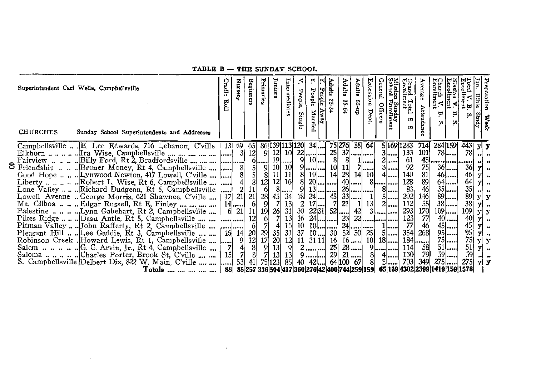#### Church V.<br>Enrolment **Mission V.**<br>Enrollment Juniors Total Grand<br>Enrolln Cradle Nursery Primaries Intermediates Enrollment Beginners Adults Adults dults **Extension** verage reparation Superintendent Carl Wells, Campbellsville ission Sunday<br>:hool Enrollm People People People,  $V. B$ Bible  $35 - 34$ 35-64 Roll dn-59 Total S  $\overline{a}$ Officers Attendance Dept. Married Single Study Ä.  $\omega$ Weel G)  $\boldsymbol{a}$  $\sigma$ **CHURCHES** Sunday School Superintendents and Addresses  $\frac{75}{25} \frac{276}{37}$ 284 159 Campbellsville... .E. Lee Edwards, 716 Lebanon C'ville 13 69  $65$ 86 139 113 120 34 55 64 5 169 1283  $714$ 4431 yl  $\mathbf{v}$  $12$  $12 \ 10 \ 22$  $\overline{3}$  $\overline{133}$ ...... Ira Wise. Campbellsville .... .... .... .... ....  $\overline{3}$  $\overline{9}$ 101 78I. 78 Elkhorn  $\overline{19}$  $\mathsf{R}$  $\frac{9}{9}$  $10<sup>1</sup>$  $2<sup>1</sup>$ 61 45  $rac{75}{81}$ & Friendship ... .. Bruner Money, Rt 4, Campbellsville ....  $\frac{8}{8}$  $rac{5}{5}$  $10<sup>1</sup>$ 10  $10<sup>1</sup>$  $11$  $7$ ....  $3$ . 92 36. 36 9 v Good Hope .. .. .. Lynwood Newton, 417 Lowell, C'ville ....  $\overline{8}$  $11$  $11$  $19$ ...  $14$ 28  $140$ 46<sup>j</sup>  $8<sup>1</sup>$ 14 10 46.  $\mathbf{v}$  $\frac{89}{46}$  $12|16$  $\breve{8}$ 20 .... ....... 40 128 Liberty .............Robert L. Wise, Rt 6, Campbellsville ....  $\frac{4}{2}$  $\mathbf{g}$  $12 \overline{ }$  $\mathbf{g}$  $64$ .... 64 .....! v ...|.....  $\ddot{\phantom{0}}$  $\tilde{g}$  $26$  $\overline{83}$  $35$ Lone Valley ... .. Richard Dudgeon, Rt 5, Campbellsville 8  $13<sup>1</sup>$  $8$ ....  $35$ ..... -61 11 ...... . . . . . . . . . . . . . ا.. ..  $\begin{array}{c} 45 \overline{\smash)34} \\ 7 \overline{\smash)13} \end{array}$  $292$  $\frac{146}{55}$  $89$ Lowell Avenue ... George Morris, 621 Shawnee, C'ville ....  $\frac{28}{9}$  $18$  $33$ ..... 89 ......  $17$  $21$  $21$  $24$ ...  $45$  $5$ ... y  $\mathbf{y}$  $\tilde{2}$ 7  $\overline{21}$ 38......  $38$ Mt. Gilboa ... .. Edgar Russell, Rt E. Finley .... .... .... **17**  $13<sup>1</sup>$  $2$ .... 112  $14$  $6<sup>1</sup>$ |...... -11 νl ..  $170$  $19$ 26  $31$  $30<sup>1</sup>$  $52$ ..... 293  $109$ ...... 109  $21$  $11$  $22|31|$ 42 **6**  $\vert$ 3| ..........  $y \mid y$ 7  $13$  $24$ ...  $22$  ..... 123  $\overline{77}$ Pikes Ridge ... .. Dean Antle, Rt 5, Campbellsville .... ...  $12$ 16  $23$  $40$ ...... 40<sup>j</sup>  $\lceil 6 \rceil$ . . . . . . . . . . . . . 1 ...... . . . . . . . . . . . y  $24$ ......  $46$ Pitman Valley ... John Rafferty, Rt 2, Campbellsville ...  $\overline{7}$  $10<sup>1</sup>$  $10$ ...  $77$  $45$ ...... 45  $6<sup>1</sup>$  $\vert$ 16  $1$ <sub>....</sub> y **......** ......  $\ddot{\phantom{a}}$ .....  $\begin{array}{c}\n14 \\
9 \\
4\n\end{array}$  $35$  $\overline{52}$ 5 ...... 354 268 95 ...... 95 Pleasant Hill ... Lee Gaddie, Rt 3, Campbellsville .... ... 16  $20<sub>1</sub>$ 29 31  $37$  $10$ ...  $30<sup>l</sup>$ 50 25 y  $\ddot{\phantom{a}}$  $\overline{17}$  $75$ Robinson Creek . Howard Lewis, Rt 1, Campbellsville ....  $\overline{12}$  $20<sup>1</sup>$  $12$  $11$  $31|11|$  $16$  $16$ .....  $10<sup>1</sup>$  $18$ .... 184  $75$ ...... y y ..... ...... 7  $\overline{8}$  $\frac{9}{7}$  $|13|$  $\overline{9}$  $\overline{2}$  $25$ 28 ...... 9 114 58  $51$ ......  $51$ y  $\ddot{\phantom{a}}$ ....|...... Saloma .........Charles Porter, Brook St, C'ville .... ....  $15$ 7  $\overline{8}$  $\overline{13}$  $13$  $\overline{29}$  $21$ ..... 130 79 **59** 59  $\mathbf{Q}$  $\mathsf{R}$  $4$ ..... ᆡ . **. . . .** . <mark>. . . .</mark> ......  $\bullet\bullet$ S. Campbellsville Delbert Dix, 822 W. Main, C'ville .... ...  $123$  $\overline{85}$ 64 100 67 703 349 275 53  $41$  $75$ 81  $5<sup>1</sup>$  $275$ ...... 40 421  $\mathbf{y}$  $\mathbf{y}$ . . . . . . 88 85 257 336 504 417 360 276 42 400 744 259 159 65 169 4302 2399 1419 159 1578 Totals .... .... .... .... ....

#### TABLE B - THE SUNDAY SCHOOL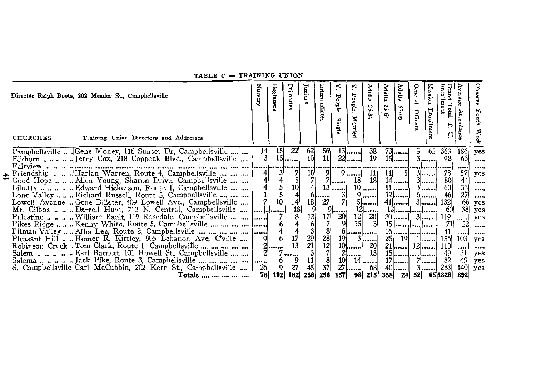| Primari<br>z<br>Beginner<br>Intermediate<br>Juniors<br>urset<br>Director Ralph Boots, 202 Meader St., Campbellsville<br>£.<br><b>CHURCHES</b><br>Training Union Directors and Addresses  | Κ<br>Adults<br>People,<br>People<br>25-34<br>Married<br><b>Single</b>                                                         | Enrollment<br>Grand<br>Mission<br>Adults<br>Adults<br>General<br>$\rm Total$<br>35-64<br>$d_{\rm R}$ -59<br>Enrollment<br>Offic<br>۳.<br>d | Observe<br>erage<br><b>Youth</b><br>Attendance<br>Week |
|------------------------------------------------------------------------------------------------------------------------------------------------------------------------------------------|-------------------------------------------------------------------------------------------------------------------------------|--------------------------------------------------------------------------------------------------------------------------------------------|--------------------------------------------------------|
| Campbellsville  . Gene Money, 116 Sunset Dr. Campbellsville<br>15<br>22<br>$^{62}_{10}$<br>14<br>31<br>$15$                                                                              | 56<br>$13$<br>11<br>$22$                                                                                                      | $73$<br>38<br>363<br>51<br>65<br>19<br>$15$<br>$3$<br>98                                                                                   | 186<br>ves<br>63<br>                                   |
| ===================<br><br>Friendship    Harlan Warren, Route 4, Campbellsville<br>41<br>$\frac{3}{4}$<br>10 <sup>1</sup><br>Good Hope    Allen Young, Sharon Drive, Campbellsville      | 91<br>9<br>18<br>/   <b> </b>                                                                                                 | 11<br> 11 <br>78<br>$3$<br>18<br>$14$<br>80<br>$3$                                                                                         | <br><br>57<br>yes<br>                                  |
| 10 <sup>1</sup><br>Lone Valley  Richard Russell, Route 5, Campbellsville<br>$0$ []                                                                                                       | $10$<br>$\begin{array}{c c}\n 13 & -3 \\  \hline\n 27 & 7\n \end{array}$<br>$9$                                               | $\frac{60}{46}$<br>$11$ []<br>$3$<br>$12$ $\ldots$<br>$6$                                                                                  | $\frac{44}{36}$<br>$\frac{36}{27}$<br>$\cdots$<br>     |
| 10<br>18<br>Lowell Avenue Cene Billeter, 409 Lowell Ave., Campbellsville<br>Mt. Gilboa    Darrell Hunt, 712 N. Central, Campbellsville<br>. <b>.</b> .                                   | 27<br>$5$<br>$12$                                                                                                             | 132<br>-60                                                                                                                                 | $66$ yes<br>$38$<br>yes                                |
| $14$<br>$18$<br>$8$<br>$4$<br>$4$<br>$7$<br>$13$<br>$\frac{12}{6}$<br>Palestine   William Bault, 119 Rosedale, Campbellsville    <br>Pikes Ridge    Kenny White, Route 5, Campbellsville | $\begin{bmatrix} 9 & 20 \\ 7 & 20 \\ 7 & 9 \end{bmatrix}$<br>$\begin{array}{c}\n17 \\ 7 \\ 8\n\end{array}$<br>$\frac{12}{15}$ | $\frac{20}{8}$<br>119<br>711                                                                                                               | yes<br>!<br>521<br>                                    |
| $7/6$<br>$4/6$<br>$\frac{3}{29}$<br>21<br>Pleasant Hill  Homer R. Kirtley, 905 Lebanon Ave, C'ville                                                                                      | $3$<br>19                                                                                                                     | 41                                                                                                                                         | <br>                                                   |
| $\begin{bmatrix} 9 & 6 \\ 2 & \dots \end{bmatrix}$<br>Robinson Creek . Tom Clark, Route 1, Campbellsville                                                                                | $\begin{bmatrix} 28 \\ 12 \\ 7 \end{bmatrix}$<br>$10$                                                                         | 25  19<br>156<br>$1$<br>$21$ $12$<br>20 <sub>l</sub><br>110                                                                                | 103<br>yes<br><br>                                     |
| $7$<br>21                                                                                                                                                                                | $2$<br>8<br>$10$ $14$                                                                                                         | 13<br>49<br>$17$    7  <br>82                                                                                                              | 31<br>yes<br>49<br>yes                                 |
| $\frac{11}{45}$<br>$\frac{9}{27}$<br>$\frac{6}{9}$<br>26<br>S. Campbellsville Carl McCubbin, 202 Kerr St., Campbellsville<br>256<br>162<br>76<br>102<br>Totals                           | 37<br>27  68                                                                                                                  | $40$ $3$ $$<br>283<br>256 157 98 215 358 24 52 65 1828                                                                                     | $140$ yes<br>892                                       |

TABLE C - TRAINING UNION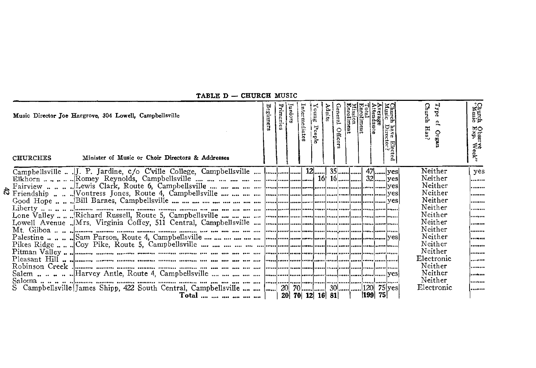| Music Director Joe Hargrove, 304 Lowell, Campbellsville<br>Minister of Music or Choir Directors & Addresses<br><b>CHURCHES</b> | Beginners | Junior | Intermediat | Young<br>People | Adults | <b>Officer</b> | tal<br>Inollment | erage<br>tendance | Church<br>Type<br>e,<br>Has?<br>Orga                                                                                                                                                          | Church<br>Church<br>Obser<br>Exp.<br>≴່≲                                      |
|--------------------------------------------------------------------------------------------------------------------------------|-----------|--------|-------------|-----------------|--------|----------------|------------------|-------------------|-----------------------------------------------------------------------------------------------------------------------------------------------------------------------------------------------|-------------------------------------------------------------------------------|
| Campbellsville  JJ. P. Jardine, c/o C'ville College, Campbellsville   12 35 47   ves                                           |           |        |             |                 |        |                |                  |                   | Neither<br>Neither<br>Neither<br>Neither<br>Neither<br>Neither<br>Neither<br>Neither<br>Neither<br>Neither<br>Neither<br>Neither<br>Electronic<br>Neither<br>Neither<br>Neither<br>Electronic | yes<br><br><br><br><br><br><br><br><br><br><br><br><br><br>  <b>.</b><br><br> |
|                                                                                                                                |           |        |             |                 |        |                |                  |                   |                                                                                                                                                                                               |                                                                               |

TABLE D - CHURCH MUSIC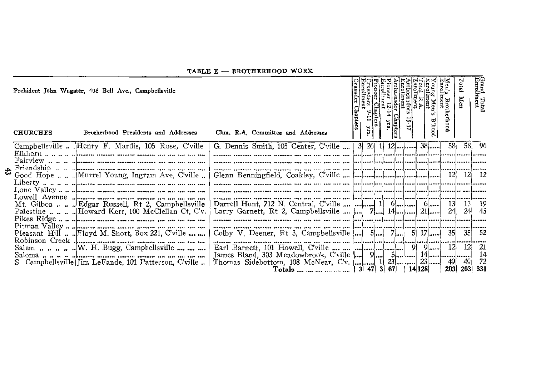| TABLE E - BROTHERHOOD WORK                                                                                                                                                                                                                                                                                                                                      |                                                                                                                                                                                   |         |      |      |              |  |       |  |                            |                                       |                 |                           |  |
|-----------------------------------------------------------------------------------------------------------------------------------------------------------------------------------------------------------------------------------------------------------------------------------------------------------------------------------------------------------------|-----------------------------------------------------------------------------------------------------------------------------------------------------------------------------------|---------|------|------|--------------|--|-------|--|----------------------------|---------------------------------------|-----------------|---------------------------|--|
| Prehident John Wagster, 408 Bell Ave., Campbellsville                                                                                                                                                                                                                                                                                                           |                                                                                                                                                                                   | hapters |      | ¦្អូ | sador<br>12. |  | sador |  |                            | Men's Bron<br>Entollment<br>Brotherho | Total           | Grand Total<br>Enrollment |  |
| <b>CHURCHES</b><br>Brotherhood Presidents and Addresses                                                                                                                                                                                                                                                                                                         | Chm. R.A. Committee and Addresses                                                                                                                                                 |         |      |      | Chapters     |  |       |  | $_{\rm{B}^\mathrm{h}$ haod |                                       |                 |                           |  |
| Campbellsville  Henry F. Mardis, 105 Rose, Cville                                                                                                                                                                                                                                                                                                               | G. Dennis Smith, 105 Center, C'ville                                                                                                                                              |         | 3 26 |      |              |  |       |  | $38$                       | 58 <sub>1</sub>                       |                 | 58 96                     |  |
|                                                                                                                                                                                                                                                                                                                                                                 |                                                                                                                                                                                   |         |      |      |              |  |       |  |                            |                                       |                 |                           |  |
| $\sum_{i=1}^{n} \frac{1}{2} \sum_{i=1}^{n} \frac{1}{2} \sum_{i=1}^{n} \frac{1}{2} \sum_{i=1}^{n} \frac{1}{2} \sum_{i=1}^{n} \frac{1}{2} \sum_{i=1}^{n} \frac{1}{2} \sum_{i=1}^{n} \frac{1}{2} \sum_{i=1}^{n} \frac{1}{2} \sum_{i=1}^{n} \frac{1}{2} \sum_{i=1}^{n} \frac{1}{2} \sum_{i=1}^{n} \frac{1}{2} \sum_{i=1}^{n} \frac{1}{2} \sum_{i=1}^{n} \frac{1}{2$ |                                                                                                                                                                                   |         |      |      |              |  |       |  |                            |                                       |                 |                           |  |
| Good Hope   Murrel Young, Ingram Ave, C'ville                                                                                                                                                                                                                                                                                                                   |                                                                                                                                                                                   |         |      |      |              |  |       |  |                            |                                       |                 | - 12                      |  |
|                                                                                                                                                                                                                                                                                                                                                                 |                                                                                                                                                                                   |         |      |      |              |  |       |  |                            |                                       |                 |                           |  |
|                                                                                                                                                                                                                                                                                                                                                                 |                                                                                                                                                                                   |         |      |      |              |  |       |  |                            |                                       |                 |                           |  |
| Mt. Gilboa   . Edgar Russell, Rt 2, Campbellsville                                                                                                                                                                                                                                                                                                              | Darrell Hunt, 712 N. Central, C'ville $\left  \ldots \right $ $\left  \ldots \right $ $\left  \right $ $\left  \right $ $\left  \ldots \right $ $\left  \right $ $\left  \right $ |         |      |      |              |  |       |  |                            | <b>13</b>                             | 13 <sup>1</sup> | -19                       |  |
|                                                                                                                                                                                                                                                                                                                                                                 | Larry Garnett, Rt 2, Campbellsville $\left  \ldots \right $ 7 14 24.                                                                                                              |         |      |      |              |  |       |  |                            |                                       | 24              | 45                        |  |
|                                                                                                                                                                                                                                                                                                                                                                 |                                                                                                                                                                                   |         |      |      |              |  |       |  |                            |                                       |                 |                           |  |
| Pleasant Hill  Floyd M. Short, Box 221, C'ville                                                                                                                                                                                                                                                                                                                 | Colby V. Deener, Rt 3, Campbellsville $\begin{bmatrix}  \\  \end{bmatrix}$ 5 7 5 17                                                                                               |         |      |      |              |  |       |  |                            | 35                                    | 351             | - 52                      |  |
|                                                                                                                                                                                                                                                                                                                                                                 |                                                                                                                                                                                   |         |      |      |              |  |       |  |                            |                                       |                 |                           |  |
| Salem  W. H. Bugg, Campbellsville                                                                                                                                                                                                                                                                                                                               |                                                                                                                                                                                   |         |      |      |              |  |       |  |                            | $9$ $\ldots$ 12                       | 12              | 21                        |  |
| Campbellsville Iim LeFande, 101 Patterson, C'ville                                                                                                                                                                                                                                                                                                              |                                                                                                                                                                                   |         |      |      |              |  |       |  |                            |                                       |                 | 14                        |  |
|                                                                                                                                                                                                                                                                                                                                                                 | Thomas Sidebottom, 108 McNear, C'v. $\begin{vmatrix}  & 1 & 23 & 3 \ 0 & 1 & 23 & 49 & 49 \end{vmatrix}$ 49 72                                                                    |         |      |      |              |  |       |  |                            |                                       |                 |                           |  |

**Contractor**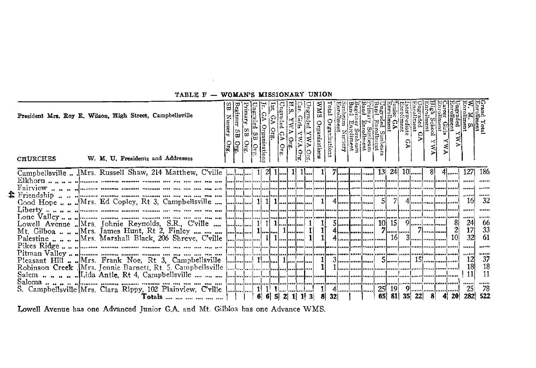| President Mrs. Roy E. Wilson, High Street, Campbellsville<br>W. M. U. Presidents and Addresses<br><b>CHURCHES</b> |  | nization | Org | <b>Dre</b> | ganizations |  | 1       1    1 |  |     | ດ    | $\frac{1}{2}$ |  |                                                           |                                                             |
|-------------------------------------------------------------------------------------------------------------------|--|----------|-----|------------|-------------|--|----------------|--|-----|------|---------------|--|-----------------------------------------------------------|-------------------------------------------------------------|
| Campbellsville  Mrs. Russell Shaw, 214 Matthew, C'ville  1 2 1 1 1                                                |  |          |     |            |             |  |                |  | 241 | $10$ |               |  | 127<br><br>16<br><br>24<br>32<br>,<br>12 <sup>1</sup><br> | 186<br>32<br><br>66<br>33<br>61<br>37<br>18<br>11<br><br>78 |

TABLE F - WOMAN'S MISSIONARY UNION

Lowell Avenue has one Advanced Junior G.A. and Mt. Gilbloa has one Advance WMS.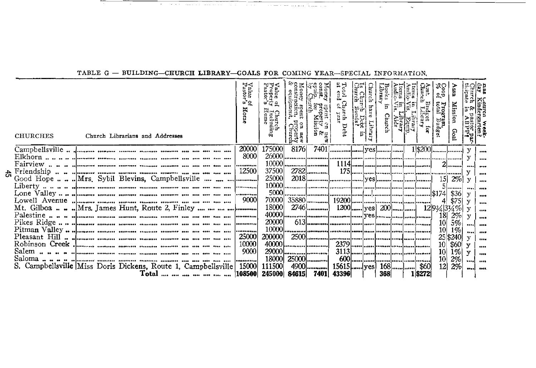| తి౦<br>្អូ <sub>នជីនិ</sub><br>អូនធំ<br>್ ಪ್ರಶ<br><b>CHURCHES</b><br>Church Librarians and Addresses | 능<br>hurc<br>Ħ.<br>irch Debt<br>year<br>Church<br>"မို့<br>$S \approx 2$ | Eile<br>St | <b>Soop.</b><br>Program,<br>otal Budge<br>ior<br>Goal | $\frac{45}{10}$ |
|------------------------------------------------------------------------------------------------------|--------------------------------------------------------------------------|------------|-------------------------------------------------------|-----------------|
| 20000<br>175000<br>81761                                                                             |                                                                          |            |                                                       |                 |
| 8000                                                                                                 |                                                                          |            |                                                       |                 |
| 10000.<br>                                                                                           |                                                                          |            |                                                       |                 |
| 12500<br>$2782$<br>37500                                                                             |                                                                          |            |                                                       |                 |
| 25000<br>Good Hope  Mrs. Sybil Blevins. Campbellsville                                               |                                                                          |            |                                                       |                 |
| 5000.                                                                                                |                                                                          |            | <b>J</b>                                              |                 |
| 9000<br>70000                                                                                        |                                                                          |            | \$36                                                  |                 |
| 18000<br>Mt. Gilboa Mrs. James Hunt, Route 2, Finley                                                 | 2746  1200    yes   200     12   934   334 %                             |            |                                                       |                 |
| 400001                                                                                               |                                                                          |            | 18<br>2%                                              |                 |
| <br>20000<br>                                                                                        |                                                                          |            | 5%                                                    |                 |
| 10000<br>                                                                                            |                                                                          |            | 10 <sup>1</sup><br>$1\%$                              |                 |
| 25000<br>200000                                                                                      |                                                                          |            | 25 \$240                                              |                 |
| 10000                                                                                                |                                                                          |            | \$60<br>10                                            |                 |
| 290001<br>9000                                                                                       |                                                                          |            | $1\%$<br>10 <sup>1</sup>                              |                 |
| 18000<br>25000                                                                                       |                                                                          |            | 2%                                                    |                 |
| 111500<br>4900<br>15000<br>S. Campbellsville Miss Doris Dickens, Route 1. Campbellsville             |                                                                          |            | 2%<br>12 <sub>l</sub>                                 |                 |
| Total        108500 <br>245000<br>84615 7401                                                         | 368<br>43396                                                             |            | 1 \$272                                               |                 |

#### TABLE G - BUILDING-CHURCH LIBRARY-GOALS FOR COMING YEAR-SPECIAL INFORMATION,

the contract of

<u>2001 - 2002 - 2003 - 2004 - 2005 - 2006 - 2007 - 2008 - 2008 - 2008 - 2008 - 2008 - 2008 - 2008 - 2008 - 2008 - 2008 - 2008 - 2008 - 2008 - 2008 - 2008 - 2008 - 2008 - 2008 - 2008 - 2008 - 2008 - 2008 - 2008 - 2008 - 2008</u>

 $\sim$ 

 $\sim$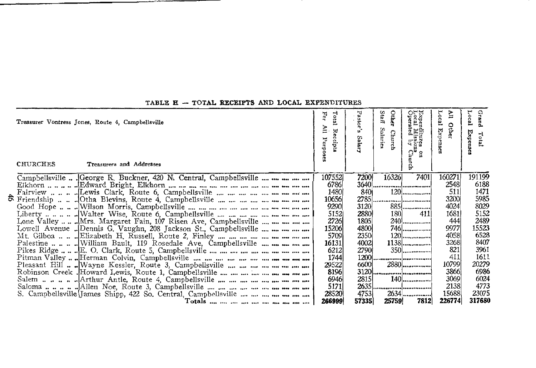| Treasurer Vontress Jones, Route 4, Campbellsville<br><b>CHURCHES</b><br>Treasurers and Addresses | Jo.<br>For<br>Re<br>$\sigma$<br>Purpose | Pastor<br>Salar | ೧೯ನ<br>Other<br>Staff<br>xpen<br>ocal<br>adina<br>Xila<br>Salaries<br><b>Church</b><br>2.46<br>ওঁ ১৯<br>្ទិ៍<br>g. | Loca<br>ξ<br>Other<br>KÄ.<br>₩<br>msea | Local<br>Grand<br>Expens<br>Total |
|--------------------------------------------------------------------------------------------------|-----------------------------------------|-----------------|--------------------------------------------------------------------------------------------------------------------|----------------------------------------|-----------------------------------|
| Campbellsville  George R. Buckner, 420 N. Central, Campbellsville                                | 107552<br>6786                          | 7200            | 16326                                                                                                              | 7401<br>160271<br>2548                 | 191199<br>6188                    |
|                                                                                                  | 1480                                    | 840             | $120$                                                                                                              | 511                                    | 1471                              |
|                                                                                                  | 10656                                   |                 |                                                                                                                    | 3200                                   | 5985                              |
|                                                                                                  | 9290                                    | 3120            | 885                                                                                                                | 4024                                   | 8029                              |
|                                                                                                  | 5152                                    | 2880            | 180                                                                                                                | 1681<br>411                            | 5152                              |
| Lone Valley  Mrs. Margaret Fain, 107 Risen Ave, Campbellsville                                   | 2726                                    | 1805            | 240                                                                                                                | 444                                    | 2489                              |
| Lowell Avenue  Dennis G. Vaughn, 208 Jackson St., Campbellsville                                 | 15206                                   | 4800            | 746                                                                                                                | 9977                                   | 15523                             |
|                                                                                                  | 5709                                    | 2350            |                                                                                                                    | 4058                                   | 6528                              |
|                                                                                                  | 16131                                   | 4002            | $1138$                                                                                                             | 3268                                   | 8407                              |
|                                                                                                  | 6212                                    | 2790            |                                                                                                                    | 821                                    | 3961                              |
|                                                                                                  | 1744                                    | 1200            |                                                                                                                    | 411                                    | 1611                              |
|                                                                                                  | 29522                                   | 6600            | 2880                                                                                                               | 10799                                  | 20279                             |
|                                                                                                  | 8196                                    |                 |                                                                                                                    | 3866                                   | 6986                              |
|                                                                                                  | 6946                                    | 2815            |                                                                                                                    | 3069                                   | 6024                              |
|                                                                                                  | 5171                                    |                 |                                                                                                                    | 2138                                   | 4773                              |
| S. Campbellsville James Shipp, 422 So. Central, Campbellsville                                   | 28520                                   | 4753            |                                                                                                                    | 15688                                  | 23075                             |
|                                                                                                  | 266999                                  | 57335           | 25759                                                                                                              | 7812<br>226774                         | 317680                            |

#### TABLE H - TOTAL RECEIPTS AND LOCAL EXPENDITURES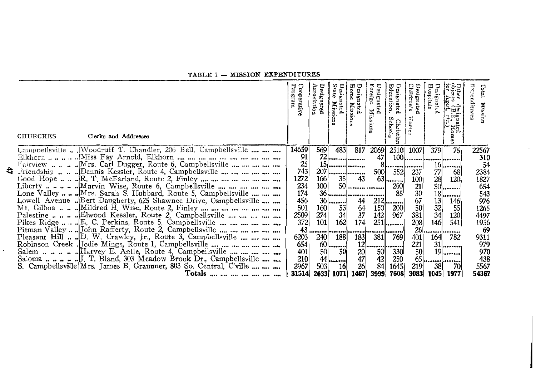#### TABLE I - MISSION EXPENDITURES

| <b>CHURCHES</b><br>Clerks and Addresses                                                                          | Cooperativ<br>Program | Association<br>Designated | State<br>gnated<br>Missions | Design<br>$\sigma$<br>Missions | Desi<br>uðia.<br>gnated<br>Mission | Educat<br>Designated<br>tuo;<br>Šch<br>ρ<br>š<br>ist:<br>s. | Designated<br>Children's<br>Ħ,<br>sune | Hospitals<br>esignated<br>ဗာဌ<br>en<br>Sig<br>igd<br>Hom<br>ğ | Expe<br>Total<br>Mission |
|------------------------------------------------------------------------------------------------------------------|-----------------------|---------------------------|-----------------------------|--------------------------------|------------------------------------|-------------------------------------------------------------|----------------------------------------|---------------------------------------------------------------|--------------------------|
| Campbellsville , Woodruff T. Chandler, 206 Bell, Campbellsville                                                  | 14659                 | 569                       | 483                         | 817                            | 2069                               | 2510                                                        | 1007                                   | 75<br>379                                                     | 22567                    |
|                                                                                                                  | 91                    |                           |                             | 72                             | 47                                 |                                                             |                                        |                                                               | 310                      |
|                                                                                                                  | 25                    |                           |                             |                                |                                    |                                                             | 81 !                                   | $16$                                                          | 54                       |
| Friendship Dennis Kessler, Route 4, Campbellsville                                                               | 743                   | 207                       |                             |                                | 500                                | 552                                                         | 237                                    | 77 <br>68                                                     | 2384                     |
|                                                                                                                  | 1272                  | 166                       | 35                          | 43                             |                                    | 63                                                          | 100                                    | 28<br>120                                                     | 1827                     |
|                                                                                                                  | 234<br>174            | 100                       |                             | 50                             |                                    | 200                                                         | 21                                     | $50$                                                          | 654                      |
| Lone Valley  Mrs. Sarah S. Hubbard, Route 5, Campbellsville                                                      | 456                   | 36                        |                             |                                |                                    | 85                                                          | 30                                     | 18<br>                                                        | 543<br>976               |
| Lowell Avenue  Bert Daugherty, 625 Shawnee Drive, Campbellsville                                                 | 501                   | <b>160</b>                |                             | 44                             | 150                                | $212$<br>200                                                | $\frac{67}{50}$                        | 146<br>55                                                     | 1265                     |
|                                                                                                                  | 2509                  | 274                       | $\frac{53}{34}$             | $\frac{64}{37}$                | 142                                | 967                                                         | 381                                    | $\frac{13}{32}$<br>$34$<br>120                                | 4497                     |
| Pikes Ridge $\dots \dots \mathbb{E}$ . C. Perkins, Route 5, Campbellsville $\dots \dots \dots \dots \dots \dots$ | 372                   | 101                       | 162                         | 174                            |                                    | 251                                                         | 208                                    | 146<br>541                                                    | 1956                     |
| Pitman Valley  John Rafferty, Route 2, Campbellsville                                                            | 43                    |                           |                             | ,,,,,,,,,                      |                                    |                                                             | 26                                     | <br>                                                          | 69                       |
| Pleasant Hill  D. W. Crawley, Jr., Route 3, Campbellsville                                                       | 6203                  | 240                       | 188                         | 183                            | 381                                | 769                                                         | 401                                    | 164<br>782                                                    | 9311                     |
| Robinson Creek .Jodie Mings, Route 1, Campbellsville                                                             | 654                   |                           |                             |                                |                                    |                                                             | 221                                    | $31$                                                          | 979                      |
|                                                                                                                  | 401                   |                           | $60$ $50$                   | 20                             | 50                                 | 330                                                         | 50                                     | $19$                                                          | 970                      |
|                                                                                                                  | 210                   | 44                        |                             | 47                             | $\frac{42}{84}$                    | 250                                                         |                                        | 65                                                            | 438                      |
| S. Campbellsville Mrs. James B. Grammer, 803 So. Central, C'ville                                                | 2967                  | 503                       | 16                          | 26                             |                                    | 1645                                                        | 219                                    | 38<br>70                                                      | 5567                     |
| Totals                                                                                                           | 31514                 | 2633                      | 1071                        | 1467                           | 3999                               | 7608                                                        | 3083                                   | 1045<br>1977                                                  | 54367                    |

£.